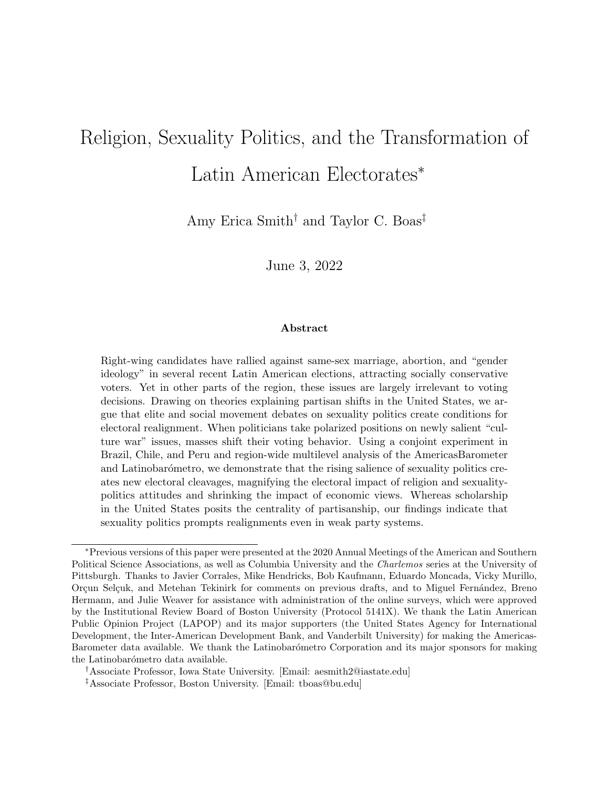# Religion, Sexuality Politics, and the Transformation of Latin American Electorates<sup>∗</sup>

Amy Erica Smith<sup>†</sup> and Taylor C. Boas<sup>‡</sup>

June 3, 2022

## Abstract

Right-wing candidates have rallied against same-sex marriage, abortion, and "gender ideology" in several recent Latin American elections, attracting socially conservative voters. Yet in other parts of the region, these issues are largely irrelevant to voting decisions. Drawing on theories explaining partisan shifts in the United States, we argue that elite and social movement debates on sexuality politics create conditions for electoral realignment. When politicians take polarized positions on newly salient "culture war" issues, masses shift their voting behavior. Using a conjoint experiment in Brazil, Chile, and Peru and region-wide multilevel analysis of the AmericasBarometer and Latinobarómetro, we demonstrate that the rising salience of sexuality politics creates new electoral cleavages, magnifying the electoral impact of religion and sexualitypolitics attitudes and shrinking the impact of economic views. Whereas scholarship in the United States posits the centrality of partisanship, our findings indicate that sexuality politics prompts realignments even in weak party systems.

<sup>∗</sup>Previous versions of this paper were presented at the 2020 Annual Meetings of the American and Southern Political Science Associations, as well as Columbia University and the Charlemos series at the University of Pittsburgh. Thanks to Javier Corrales, Mike Hendricks, Bob Kaufmann, Eduardo Moncada, Vicky Murillo, Orçun Selçuk, and Metehan Tekinirk for comments on previous drafts, and to Miguel Fernández, Breno Hermann, and Julie Weaver for assistance with administration of the online surveys, which were approved by the Institutional Review Board of Boston University (Protocol 5141X). We thank the Latin American Public Opinion Project (LAPOP) and its major supporters (the United States Agency for International Development, the Inter-American Development Bank, and Vanderbilt University) for making the Americas-Barometer data available. We thank the Latinobarómetro Corporation and its major sponsors for making the Latinobarómetro data available.

<sup>†</sup>Associate Professor, Iowa State University. [Email: aesmith2@iastate.edu]

<sup>‡</sup>Associate Professor, Boston University. [Email: tboas@bu.edu]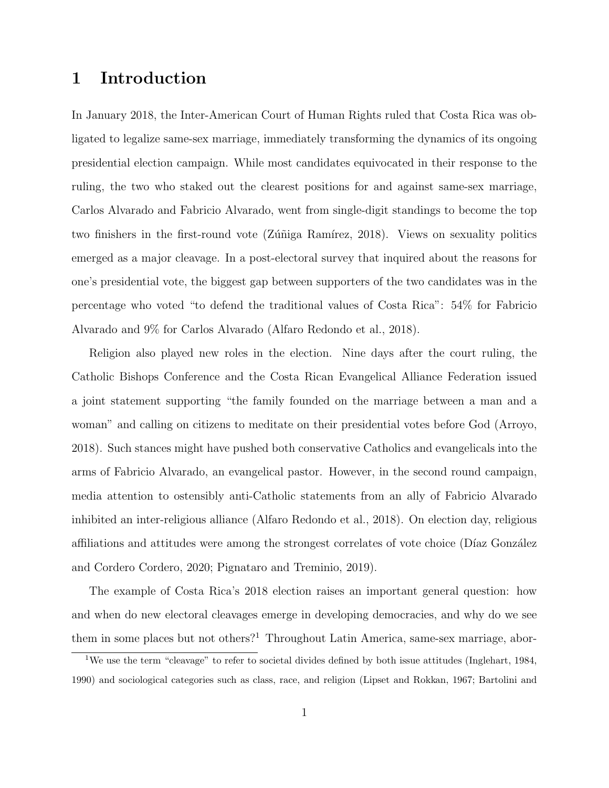# 1 Introduction

In January 2018, the Inter-American Court of Human Rights ruled that Costa Rica was obligated to legalize same-sex marriage, immediately transforming the dynamics of its ongoing presidential election campaign. While most candidates equivocated in their response to the ruling, the two who staked out the clearest positions for and against same-sex marriage, Carlos Alvarado and Fabricio Alvarado, went from single-digit standings to become the top two finishers in the first-round vote (Zúñiga Ramírez, 2018). Views on sexuality politics emerged as a major cleavage. In a post-electoral survey that inquired about the reasons for one's presidential vote, the biggest gap between supporters of the two candidates was in the percentage who voted "to defend the traditional values of Costa Rica": 54% for Fabricio Alvarado and 9% for Carlos Alvarado [\(Alfaro Redondo et al., 2018\)](#page-30-0).

Religion also played new roles in the election. Nine days after the court ruling, the Catholic Bishops Conference and the Costa Rican Evangelical Alliance Federation issued a joint statement supporting "the family founded on the marriage between a man and a woman" and calling on citizens to meditate on their presidential votes before God [\(Arroyo,](#page-30-1) [2018\)](#page-30-1). Such stances might have pushed both conservative Catholics and evangelicals into the arms of Fabricio Alvarado, an evangelical pastor. However, in the second round campaign, media attention to ostensibly anti-Catholic statements from an ally of Fabricio Alvarado inhibited an inter-religious alliance [\(Alfaro Redondo et al., 2018\)](#page-30-0). On election day, religious affiliations and attitudes were among the strongest correlates of vote choice (Díaz González [and Cordero Cordero, 2020;](#page-32-0) [Pignataro and Treminio, 2019\)](#page-36-0).

The example of Costa Rica's 2018 election raises an important general question: how and when do new electoral cleavages emerge in developing democracies, and why do we see them in some places but not others?<sup>[1](#page-1-0)</sup> Throughout Latin America, same-sex marriage, abor-

<span id="page-1-0"></span><sup>1</sup>We use the term "cleavage" to refer to societal divides defined by both issue attitudes [\(Inglehart, 1984,](#page-34-0) [1990\)](#page-34-1) and sociological categories such as class, race, and religion [\(Lipset and Rokkan, 1967;](#page-35-0) [Bartolini and](#page-30-2)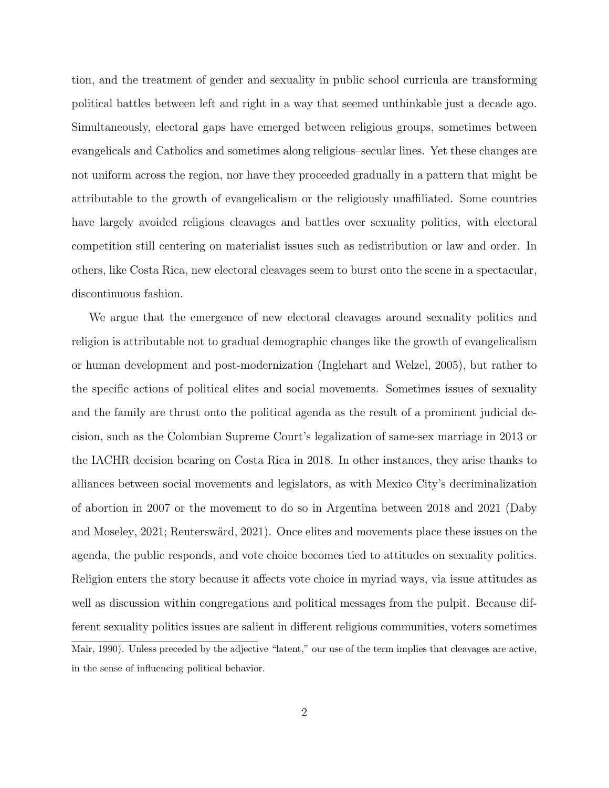[tion, and the treatment of gender and sexuality in public school curricula are transforming](#page-30-2) [political battles between left and right in a way that seemed unthinkable just a decade ago.](#page-30-2) [Simultaneously, electoral gaps have emerged between religious groups, sometimes between](#page-30-2) [evangelicals and Catholics and sometimes along religious–secular lines. Yet these changes are](#page-30-2) [not uniform across the region, nor have they proceeded gradually in a pattern that might be](#page-30-2) [attributable to the growth of evangelicalism or the religiously unaffiliated. Some countries](#page-30-2) [have largely avoided religious cleavages and battles over sexuality politics, with electoral](#page-30-2) [competition still centering on materialist issues such as redistribution or law and order. In](#page-30-2) [others, like Costa Rica, new electoral cleavages seem to burst onto the scene in a spectacular,](#page-30-2) [discontinuous fashion.](#page-30-2)

[We argue that the emergence of new electoral cleavages around sexuality politics and](#page-30-2) [religion is attributable not to gradual demographic changes like the growth of evangelicalism](#page-30-2) [or human development and post-modernization \(Inglehart and Welzel, 2005\), but rather to](#page-30-2) [the specific actions of political elites and social movements. Sometimes issues of sexuality](#page-30-2) [and the family are thrust onto the political agenda as the result of a prominent judicial de](#page-30-2)[cision, such as the Colombian Supreme Court's legalization of same-sex marriage in 2013 or](#page-30-2) [the IACHR decision bearing on Costa Rica in 2018. In other instances, they arise thanks to](#page-30-2) [alliances between social movements and legislators, as with Mexico City's decriminalization](#page-30-2) [of abortion in 2007 or the movement to do so in Argentina between 2018 and 2021 \(Daby](#page-30-2) and Moseley, 2021; Reuterswärd, 2021). Once elites and movements place these issues on the [agenda, the public responds, and vote choice becomes tied to attitudes on sexuality politics.](#page-30-2) [Religion enters the story because it affects vote choice in myriad ways, via issue attitudes as](#page-30-2) [well as discussion within congregations and political messages from the pulpit. Because dif](#page-30-2)[ferent sexuality politics issues are salient in different religious communities, voters sometimes](#page-30-2) [Mair, 1990\)](#page-30-2). Unless preceded by the adjective "latent," our use of the term implies that cleavages are active, in the sense of influencing political behavior.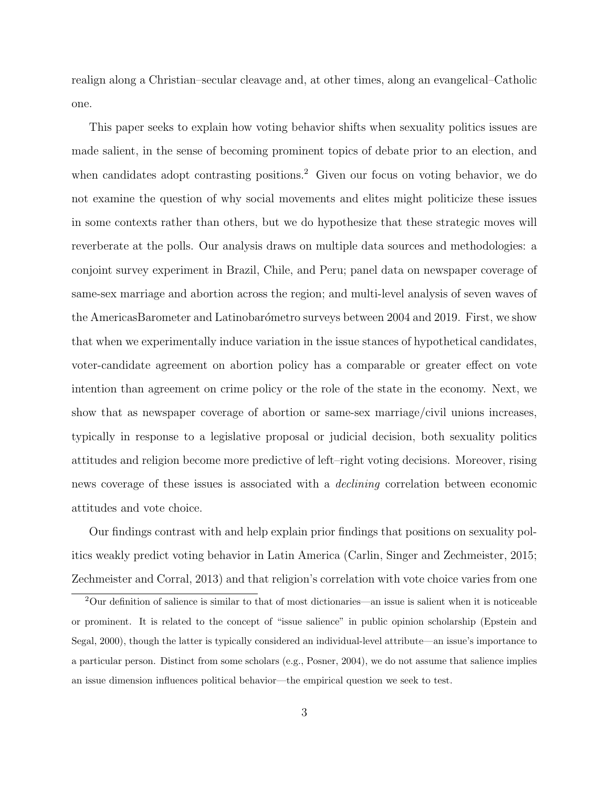realign along a Christian–secular cleavage and, at other times, along an evangelical–Catholic one.

This paper seeks to explain how voting behavior shifts when sexuality politics issues are made salient, in the sense of becoming prominent topics of debate prior to an election, and when candidates adopt contrasting positions.<sup>[2](#page-3-0)</sup> Given our focus on voting behavior, we do not examine the question of why social movements and elites might politicize these issues in some contexts rather than others, but we do hypothesize that these strategic moves will reverberate at the polls. Our analysis draws on multiple data sources and methodologies: a conjoint survey experiment in Brazil, Chile, and Peru; panel data on newspaper coverage of same-sex marriage and abortion across the region; and multi-level analysis of seven waves of the AmericasBarometer and Latinobarómetro surveys between 2004 and 2019. First, we show that when we experimentally induce variation in the issue stances of hypothetical candidates, voter-candidate agreement on abortion policy has a comparable or greater effect on vote intention than agreement on crime policy or the role of the state in the economy. Next, we show that as newspaper coverage of abortion or same-sex marriage/civil unions increases, typically in response to a legislative proposal or judicial decision, both sexuality politics attitudes and religion become more predictive of left–right voting decisions. Moreover, rising news coverage of these issues is associated with a declining correlation between economic attitudes and vote choice.

Our findings contrast with and help explain prior findings that positions on sexuality politics weakly predict voting behavior in Latin America [\(Carlin, Singer and Zechmeister, 2015;](#page-31-0) [Zechmeister and Corral, 2013\)](#page-37-1) and that religion's correlation with vote choice varies from one

<span id="page-3-0"></span><sup>2</sup>Our definition of salience is similar to that of most dictionaries—an issue is salient when it is noticeable or prominent. It is related to the concept of "issue salience" in public opinion scholarship [\(Epstein and](#page-33-0) [Segal, 2000\)](#page-33-0), though the latter is typically considered an individual-level attribute—an issue's importance to a particular person. Distinct from some scholars (e.g., [Posner, 2004\)](#page-36-2), we do not assume that salience implies an issue dimension influences political behavior—the empirical question we seek to test.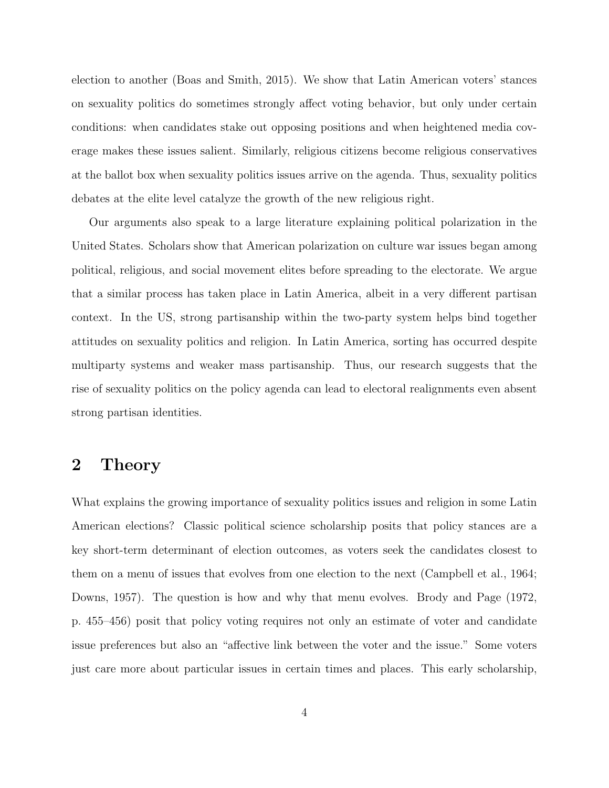election to another [\(Boas and Smith, 2015\)](#page-30-3). We show that Latin American voters' stances on sexuality politics do sometimes strongly affect voting behavior, but only under certain conditions: when candidates stake out opposing positions and when heightened media coverage makes these issues salient. Similarly, religious citizens become religious conservatives at the ballot box when sexuality politics issues arrive on the agenda. Thus, sexuality politics debates at the elite level catalyze the growth of the new religious right.

Our arguments also speak to a large literature explaining political polarization in the United States. Scholars show that American polarization on culture war issues began among political, religious, and social movement elites before spreading to the electorate. We argue that a similar process has taken place in Latin America, albeit in a very different partisan context. In the US, strong partisanship within the two-party system helps bind together attitudes on sexuality politics and religion. In Latin America, sorting has occurred despite multiparty systems and weaker mass partisanship. Thus, our research suggests that the rise of sexuality politics on the policy agenda can lead to electoral realignments even absent strong partisan identities.

# 2 Theory

What explains the growing importance of sexuality politics issues and religion in some Latin American elections? Classic political science scholarship posits that policy stances are a key short-term determinant of election outcomes, as voters seek the candidates closest to them on a menu of issues that evolves from one election to the next [\(Campbell et al., 1964;](#page-31-1) [Downs, 1957\)](#page-32-2). The question is how and why that menu evolves. [Brody and Page](#page-31-2) [\(1972,](#page-31-2) p. 455–456) posit that policy voting requires not only an estimate of voter and candidate issue preferences but also an "affective link between the voter and the issue." Some voters just care more about particular issues in certain times and places. This early scholarship,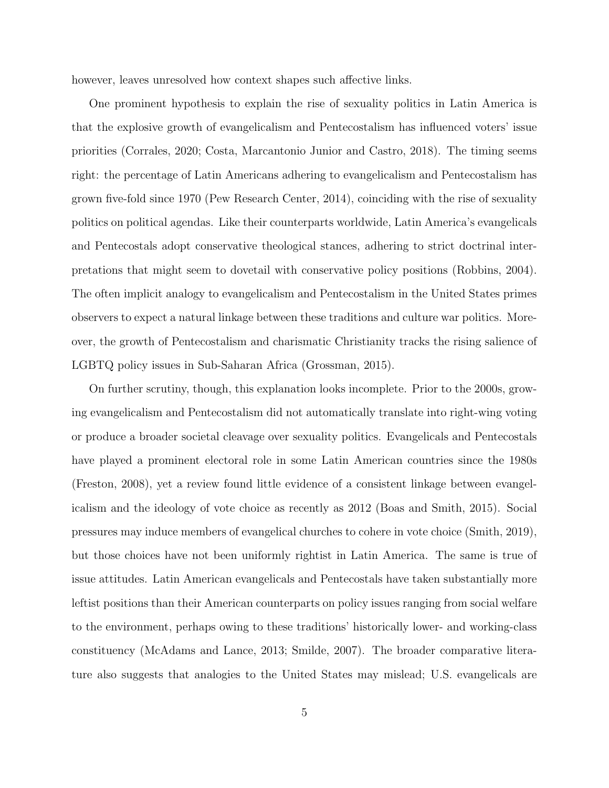however, leaves unresolved how context shapes such affective links.

One prominent hypothesis to explain the rise of sexuality politics in Latin America is that the explosive growth of evangelicalism and Pentecostalism has influenced voters' issue priorities [\(Corrales, 2020;](#page-32-3) [Costa, Marcantonio Junior and Castro, 2018\)](#page-32-4). The timing seems right: the percentage of Latin Americans adhering to evangelicalism and Pentecostalism has grown five-fold since 1970 [\(Pew Research Center, 2014\)](#page-36-3), coinciding with the rise of sexuality politics on political agendas. Like their counterparts worldwide, Latin America's evangelicals and Pentecostals adopt conservative theological stances, adhering to strict doctrinal interpretations that might seem to dovetail with conservative policy positions [\(Robbins, 2004\)](#page-36-4). The often implicit analogy to evangelicalism and Pentecostalism in the United States primes observers to expect a natural linkage between these traditions and culture war politics. Moreover, the growth of Pentecostalism and charismatic Christianity tracks the rising salience of LGBTQ policy issues in Sub-Saharan Africa [\(Grossman, 2015\)](#page-33-1).

On further scrutiny, though, this explanation looks incomplete. Prior to the 2000s, growing evangelicalism and Pentecostalism did not automatically translate into right-wing voting or produce a broader societal cleavage over sexuality politics. Evangelicals and Pentecostals have played a prominent electoral role in some Latin American countries since the 1980s [\(Freston, 2008\)](#page-33-2), yet a review found little evidence of a consistent linkage between evangelicalism and the ideology of vote choice as recently as 2012 [\(Boas and Smith, 2015\)](#page-30-3). Social pressures may induce members of evangelical churches to cohere in vote choice [\(Smith, 2019\)](#page-37-2), but those choices have not been uniformly rightist in Latin America. The same is true of issue attitudes. Latin American evangelicals and Pentecostals have taken substantially more leftist positions than their American counterparts on policy issues ranging from social welfare to the environment, perhaps owing to these traditions' historically lower- and working-class constituency [\(McAdams and Lance, 2013;](#page-35-1) [Smilde, 2007\)](#page-37-3). The broader comparative literature also suggests that analogies to the United States may mislead; U.S. evangelicals are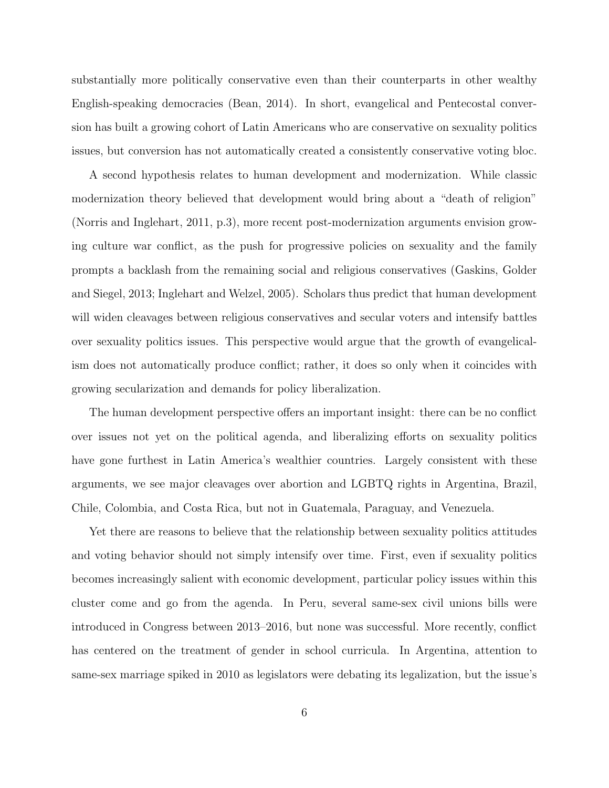substantially more politically conservative even than their counterparts in other wealthy English-speaking democracies [\(Bean, 2014\)](#page-30-4). In short, evangelical and Pentecostal conversion has built a growing cohort of Latin Americans who are conservative on sexuality politics issues, but conversion has not automatically created a consistently conservative voting bloc.

A second hypothesis relates to human development and modernization. While classic modernization theory believed that development would bring about a "death of religion" [\(Norris and Inglehart, 2011,](#page-36-5) p.3), more recent post-modernization arguments envision growing culture war conflict, as the push for progressive policies on sexuality and the family prompts a backlash from the remaining social and religious conservatives [\(Gaskins, Golder](#page-33-3) [and Siegel, 2013;](#page-33-3) [Inglehart and Welzel, 2005\)](#page-34-2). Scholars thus predict that human development will widen cleavages between religious conservatives and secular voters and intensify battles over sexuality politics issues. This perspective would argue that the growth of evangelicalism does not automatically produce conflict; rather, it does so only when it coincides with growing secularization and demands for policy liberalization.

The human development perspective offers an important insight: there can be no conflict over issues not yet on the political agenda, and liberalizing efforts on sexuality politics have gone furthest in Latin America's wealthier countries. Largely consistent with these arguments, we see major cleavages over abortion and LGBTQ rights in Argentina, Brazil, Chile, Colombia, and Costa Rica, but not in Guatemala, Paraguay, and Venezuela.

Yet there are reasons to believe that the relationship between sexuality politics attitudes and voting behavior should not simply intensify over time. First, even if sexuality politics becomes increasingly salient with economic development, particular policy issues within this cluster come and go from the agenda. In Peru, several same-sex civil unions bills were introduced in Congress between 2013–2016, but none was successful. More recently, conflict has centered on the treatment of gender in school curricula. In Argentina, attention to same-sex marriage spiked in 2010 as legislators were debating its legalization, but the issue's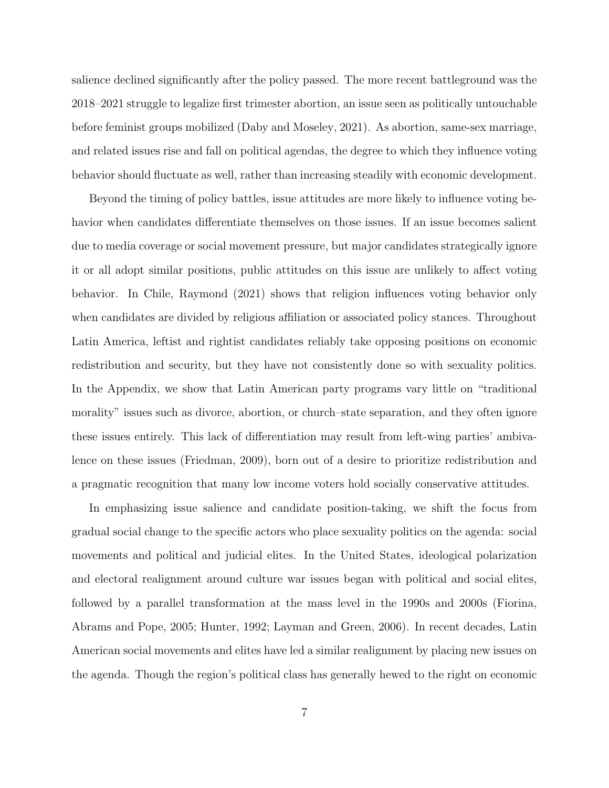salience declined significantly after the policy passed. The more recent battleground was the 2018–2021 struggle to legalize first trimester abortion, an issue seen as politically untouchable before feminist groups mobilized [\(Daby and Moseley, 2021\)](#page-32-1). As abortion, same-sex marriage, and related issues rise and fall on political agendas, the degree to which they influence voting behavior should fluctuate as well, rather than increasing steadily with economic development.

Beyond the timing of policy battles, issue attitudes are more likely to influence voting behavior when candidates differentiate themselves on those issues. If an issue becomes salient due to media coverage or social movement pressure, but major candidates strategically ignore it or all adopt similar positions, public attitudes on this issue are unlikely to affect voting behavior. In Chile, [Raymond](#page-36-6) [\(2021\)](#page-36-6) shows that religion influences voting behavior only when candidates are divided by religious affiliation or associated policy stances. Throughout Latin America, leftist and rightist candidates reliably take opposing positions on economic redistribution and security, but they have not consistently done so with sexuality politics. In the Appendix, we show that Latin American party programs vary little on "traditional morality" issues such as divorce, abortion, or church–state separation, and they often ignore these issues entirely. This lack of differentiation may result from left-wing parties' ambivalence on these issues [\(Friedman, 2009\)](#page-33-4), born out of a desire to prioritize redistribution and a pragmatic recognition that many low income voters hold socially conservative attitudes.

In emphasizing issue salience and candidate position-taking, we shift the focus from gradual social change to the specific actors who place sexuality politics on the agenda: social movements and political and judicial elites. In the United States, ideological polarization and electoral realignment around culture war issues began with political and social elites, followed by a parallel transformation at the mass level in the 1990s and 2000s [\(Fiorina,](#page-33-5) [Abrams and Pope, 2005;](#page-33-5) [Hunter, 1992;](#page-34-3) [Layman and Green, 2006\)](#page-34-4). In recent decades, Latin American social movements and elites have led a similar realignment by placing new issues on the agenda. Though the region's political class has generally hewed to the right on economic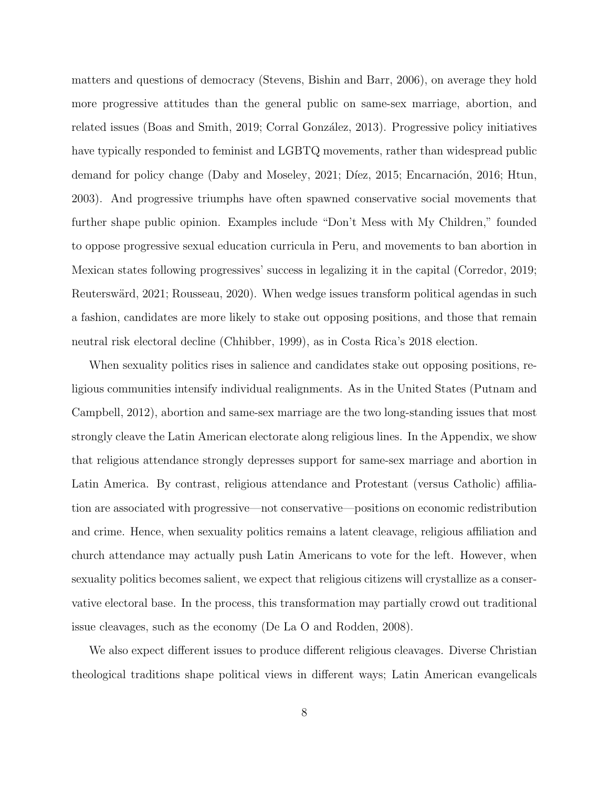matters and questions of democracy [\(Stevens, Bishin and Barr, 2006\)](#page-37-4), on average they hold more progressive attitudes than the general public on same-sex marriage, abortion, and related issues [\(Boas and Smith, 2019;](#page-30-5) Corral González, 2013). Progressive policy initiatives have typically responded to feminist and LGBTQ movements, rather than widespread public demand for policy change [\(Daby and Moseley, 2021;](#page-32-1) Díez, 2015; Encarnación, 2016; [Htun,](#page-33-7) [2003\)](#page-33-7). And progressive triumphs have often spawned conservative social movements that further shape public opinion. Examples include "Don't Mess with My Children," founded to oppose progressive sexual education curricula in Peru, and movements to ban abortion in Mexican states following progressives' success in legalizing it in the capital [\(Corredor, 2019;](#page-32-6) Reuterswärd, 2021; [Rousseau, 2020\)](#page-36-7). When wedge issues transform political agendas in such a fashion, candidates are more likely to stake out opposing positions, and those that remain neutral risk electoral decline [\(Chhibber, 1999\)](#page-31-4), as in Costa Rica's 2018 election.

When sexuality politics rises in salience and candidates stake out opposing positions, religious communities intensify individual realignments. As in the United States [\(Putnam and](#page-36-8) [Campbell, 2012\)](#page-36-8), abortion and same-sex marriage are the two long-standing issues that most strongly cleave the Latin American electorate along religious lines. In the Appendix, we show that religious attendance strongly depresses support for same-sex marriage and abortion in Latin America. By contrast, religious attendance and Protestant (versus Catholic) affiliation are associated with progressive—not conservative—positions on economic redistribution and crime. Hence, when sexuality politics remains a latent cleavage, religious affiliation and church attendance may actually push Latin Americans to vote for the left. However, when sexuality politics becomes salient, we expect that religious citizens will crystallize as a conservative electoral base. In the process, this transformation may partially crowd out traditional issue cleavages, such as the economy [\(De La O and Rodden, 2008\)](#page-32-7).

We also expect different issues to produce different religious cleavages. Diverse Christian theological traditions shape political views in different ways; Latin American evangelicals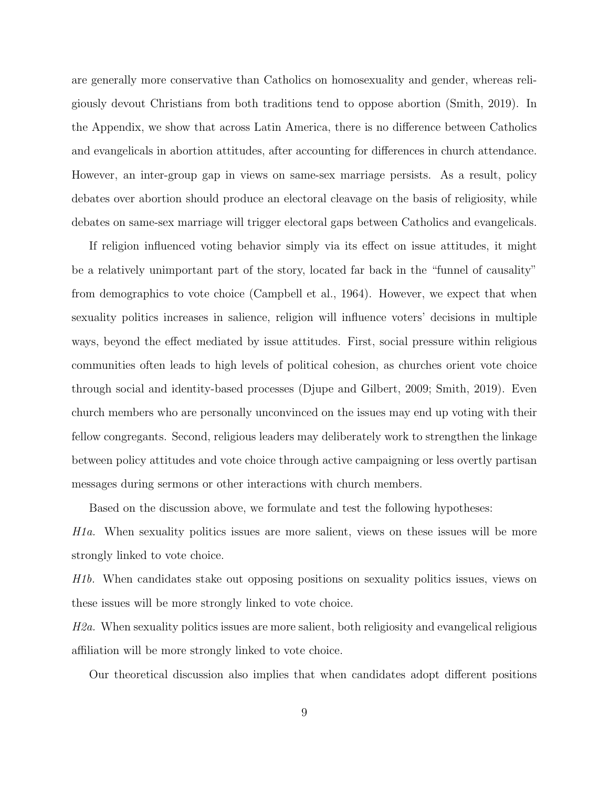are generally more conservative than Catholics on homosexuality and gender, whereas religiously devout Christians from both traditions tend to oppose abortion [\(Smith, 2019\)](#page-37-2). In the Appendix, we show that across Latin America, there is no difference between Catholics and evangelicals in abortion attitudes, after accounting for differences in church attendance. However, an inter-group gap in views on same-sex marriage persists. As a result, policy debates over abortion should produce an electoral cleavage on the basis of religiosity, while debates on same-sex marriage will trigger electoral gaps between Catholics and evangelicals.

If religion influenced voting behavior simply via its effect on issue attitudes, it might be a relatively unimportant part of the story, located far back in the "funnel of causality" from demographics to vote choice [\(Campbell et al., 1964\)](#page-31-1). However, we expect that when sexuality politics increases in salience, religion will influence voters' decisions in multiple ways, beyond the effect mediated by issue attitudes. First, social pressure within religious communities often leads to high levels of political cohesion, as churches orient vote choice through social and identity-based processes [\(Djupe and Gilbert, 2009;](#page-32-8) [Smith, 2019\)](#page-37-2). Even church members who are personally unconvinced on the issues may end up voting with their fellow congregants. Second, religious leaders may deliberately work to strengthen the linkage between policy attitudes and vote choice through active campaigning or less overtly partisan messages during sermons or other interactions with church members.

Based on the discussion above, we formulate and test the following hypotheses:

H1a. When sexuality politics issues are more salient, views on these issues will be more strongly linked to vote choice.

H1b. When candidates stake out opposing positions on sexuality politics issues, views on these issues will be more strongly linked to vote choice.

H2a. When sexuality politics issues are more salient, both religiosity and evangelical religious affiliation will be more strongly linked to vote choice.

Our theoretical discussion also implies that when candidates adopt different positions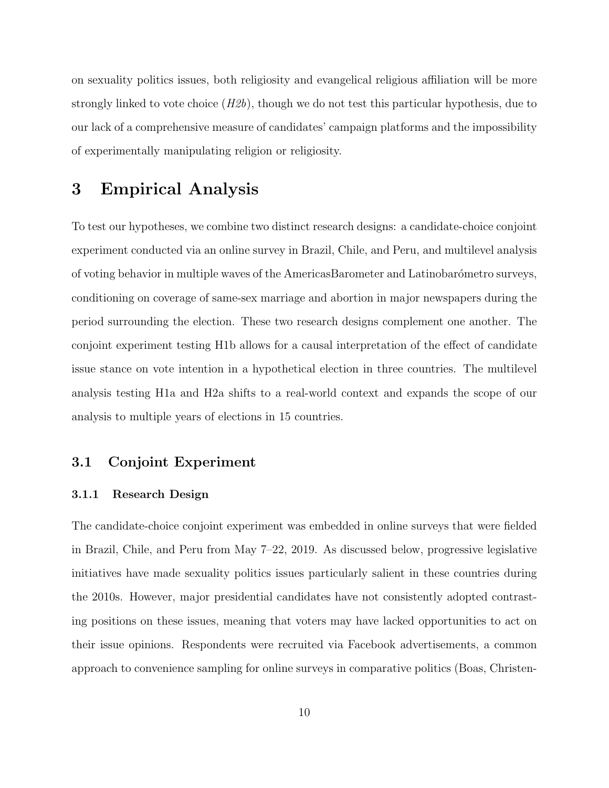on sexuality politics issues, both religiosity and evangelical religious affiliation will be more strongly linked to vote choice  $(H2b)$ , though we do not test this particular hypothesis, due to our lack of a comprehensive measure of candidates' campaign platforms and the impossibility of experimentally manipulating religion or religiosity.

## 3 Empirical Analysis

To test our hypotheses, we combine two distinct research designs: a candidate-choice conjoint experiment conducted via an online survey in Brazil, Chile, and Peru, and multilevel analysis of voting behavior in multiple waves of the AmericasBarometer and Latinobarómetro surveys, conditioning on coverage of same-sex marriage and abortion in major newspapers during the period surrounding the election. These two research designs complement one another. The conjoint experiment testing H1b allows for a causal interpretation of the effect of candidate issue stance on vote intention in a hypothetical election in three countries. The multilevel analysis testing H1a and H2a shifts to a real-world context and expands the scope of our analysis to multiple years of elections in 15 countries.

## 3.1 Conjoint Experiment

## 3.1.1 Research Design

The candidate-choice conjoint experiment was embedded in online surveys that were fielded in Brazil, Chile, and Peru from May 7–22, 2019. As discussed below, progressive legislative initiatives have made sexuality politics issues particularly salient in these countries during the 2010s. However, major presidential candidates have not consistently adopted contrasting positions on these issues, meaning that voters may have lacked opportunities to act on their issue opinions. Respondents were recruited via Facebook advertisements, a common approach to convenience sampling for online surveys in comparative politics [\(Boas, Christen-](#page-30-6)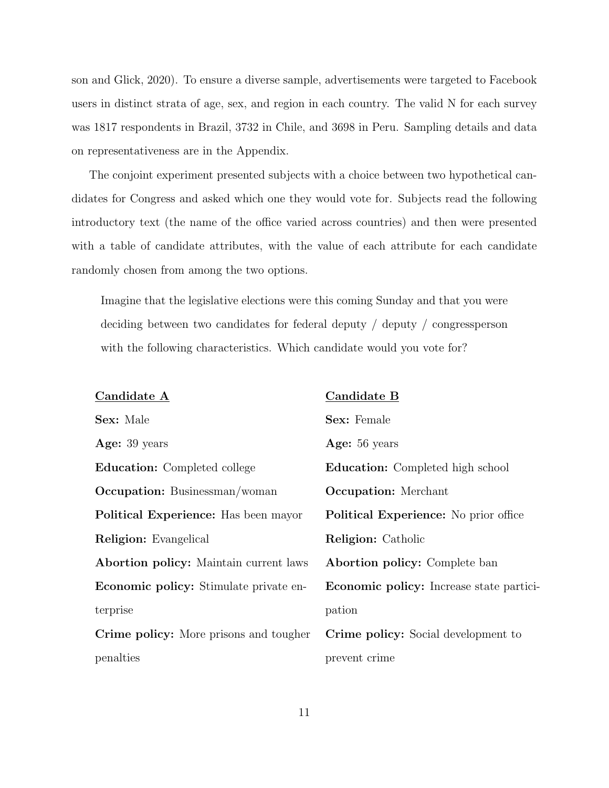[son and Glick, 2020\)](#page-30-6). To ensure a diverse sample, advertisements were targeted to Facebook users in distinct strata of age, sex, and region in each country. The valid N for each survey was 1817 respondents in Brazil, 3732 in Chile, and 3698 in Peru. Sampling details and data on representativeness are in the Appendix.

The conjoint experiment presented subjects with a choice between two hypothetical candidates for Congress and asked which one they would vote for. Subjects read the following introductory text (the name of the office varied across countries) and then were presented with a table of candidate attributes, with the value of each attribute for each candidate randomly chosen from among the two options.

Imagine that the legislative elections were this coming Sunday and that you were deciding between two candidates for federal deputy / deputy / congressperson with the following characteristics. Which candidate would you vote for?

| Candidate A                                   | Candidate B                                     |
|-----------------------------------------------|-------------------------------------------------|
| Sex: Male                                     | <b>Sex:</b> Female                              |
| Age: 39 years                                 | Age: 56 years                                   |
| <b>Education:</b> Completed college           | <b>Education:</b> Completed high school         |
| <b>Occupation:</b> Businessman/woman          | <b>Occupation:</b> Merchant                     |
| <b>Political Experience:</b> Has been mayor   | <b>Political Experience:</b> No prior office    |
| <b>Religion:</b> Evangelical                  | <b>Religion:</b> Catholic                       |
| <b>Abortion policy:</b> Maintain current laws | <b>Abortion policy:</b> Complete ban            |
| <b>Economic policy:</b> Stimulate private en- | <b>Economic policy:</b> Increase state partici- |
| terprise                                      | pation                                          |
| Crime policy: More prisons and tougher        | Crime policy: Social development to             |
| penalties                                     | prevent crime                                   |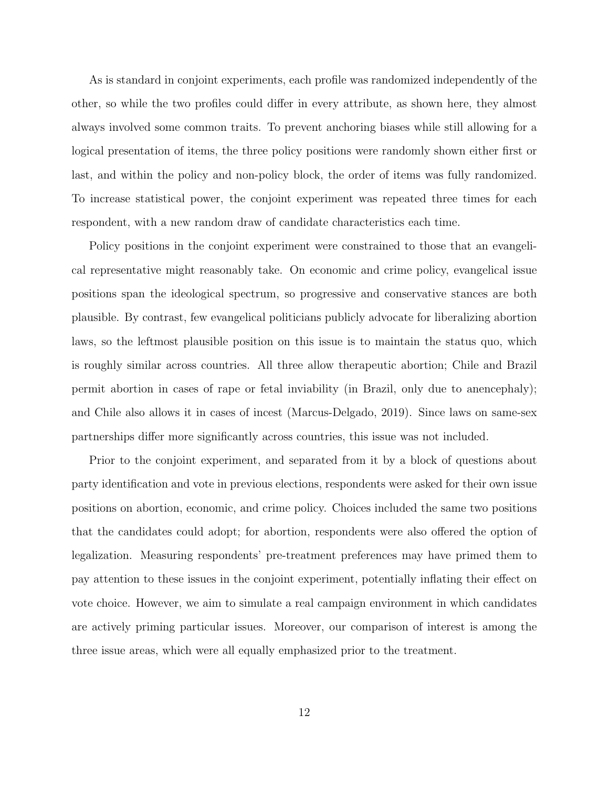As is standard in conjoint experiments, each profile was randomized independently of the other, so while the two profiles could differ in every attribute, as shown here, they almost always involved some common traits. To prevent anchoring biases while still allowing for a logical presentation of items, the three policy positions were randomly shown either first or last, and within the policy and non-policy block, the order of items was fully randomized. To increase statistical power, the conjoint experiment was repeated three times for each respondent, with a new random draw of candidate characteristics each time.

Policy positions in the conjoint experiment were constrained to those that an evangelical representative might reasonably take. On economic and crime policy, evangelical issue positions span the ideological spectrum, so progressive and conservative stances are both plausible. By contrast, few evangelical politicians publicly advocate for liberalizing abortion laws, so the leftmost plausible position on this issue is to maintain the status quo, which is roughly similar across countries. All three allow therapeutic abortion; Chile and Brazil permit abortion in cases of rape or fetal inviability (in Brazil, only due to anencephaly); and Chile also allows it in cases of incest [\(Marcus-Delgado, 2019\)](#page-35-2). Since laws on same-sex partnerships differ more significantly across countries, this issue was not included.

Prior to the conjoint experiment, and separated from it by a block of questions about party identification and vote in previous elections, respondents were asked for their own issue positions on abortion, economic, and crime policy. Choices included the same two positions that the candidates could adopt; for abortion, respondents were also offered the option of legalization. Measuring respondents' pre-treatment preferences may have primed them to pay attention to these issues in the conjoint experiment, potentially inflating their effect on vote choice. However, we aim to simulate a real campaign environment in which candidates are actively priming particular issues. Moreover, our comparison of interest is among the three issue areas, which were all equally emphasized prior to the treatment.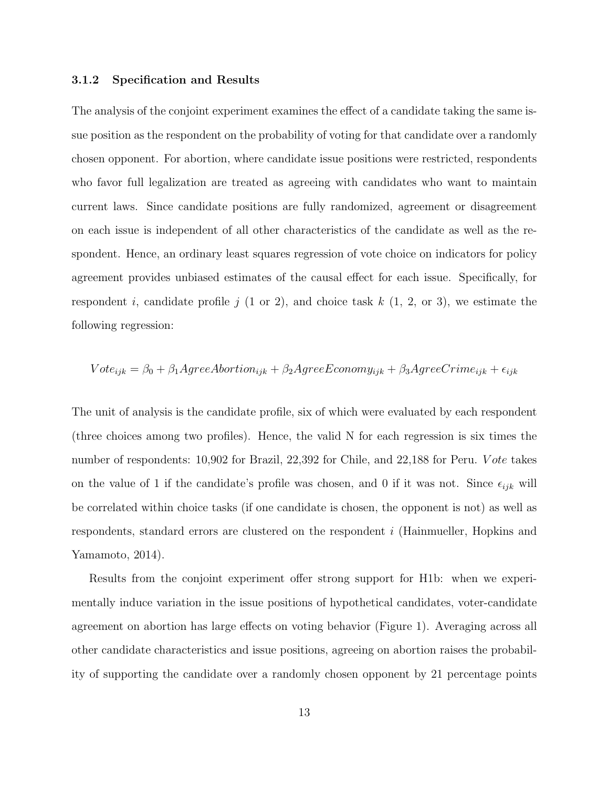## 3.1.2 Specification and Results

The analysis of the conjoint experiment examines the effect of a candidate taking the same issue position as the respondent on the probability of voting for that candidate over a randomly chosen opponent. For abortion, where candidate issue positions were restricted, respondents who favor full legalization are treated as agreeing with candidates who want to maintain current laws. Since candidate positions are fully randomized, agreement or disagreement on each issue is independent of all other characteristics of the candidate as well as the respondent. Hence, an ordinary least squares regression of vote choice on indicators for policy agreement provides unbiased estimates of the causal effect for each issue. Specifically, for respondent i, candidate profile j  $(1 \text{ or } 2)$ , and choice task k  $(1, 2, \text{ or } 3)$ , we estimate the following regression:

$$
Vote_{ijk} = \beta_0 + \beta_1 AgreeAbortion_{ijk} + \beta_2 AgreeE company_{ijk} + \beta_3 AgreeCrime_{ijk} + \epsilon_{ijk}
$$

The unit of analysis is the candidate profile, six of which were evaluated by each respondent (three choices among two profiles). Hence, the valid N for each regression is six times the number of respondents: 10,902 for Brazil, 22,392 for Chile, and 22,188 for Peru. Vote takes on the value of 1 if the candidate's profile was chosen, and 0 if it was not. Since  $\epsilon_{ijk}$  will be correlated within choice tasks (if one candidate is chosen, the opponent is not) as well as respondents, standard errors are clustered on the respondent i [\(Hainmueller, Hopkins and](#page-33-8) [Yamamoto, 2014\)](#page-33-8).

Results from the conjoint experiment offer strong support for H1b: when we experimentally induce variation in the issue positions of hypothetical candidates, voter-candidate agreement on abortion has large effects on voting behavior (Figure [1\)](#page-14-0). Averaging across all other candidate characteristics and issue positions, agreeing on abortion raises the probability of supporting the candidate over a randomly chosen opponent by 21 percentage points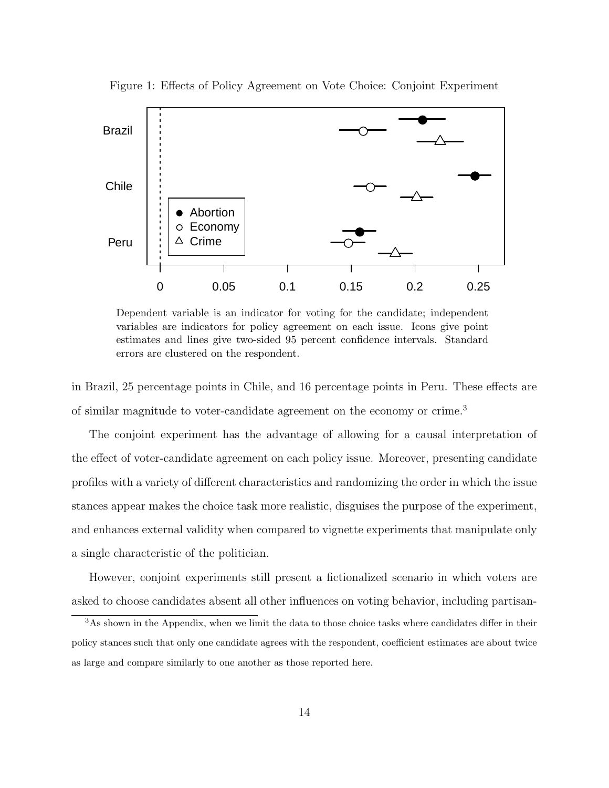

<span id="page-14-0"></span>Figure 1: Effects of Policy Agreement on Vote Choice: Conjoint Experiment

Dependent variable is an indicator for voting for the candidate; independent variables are indicators for policy agreement on each issue. Icons give point estimates and lines give two-sided 95 percent confidence intervals. Standard errors are clustered on the respondent.

in Brazil, 25 percentage points in Chile, and 16 percentage points in Peru. These effects are of similar magnitude to voter-candidate agreement on the economy or crime.[3](#page-14-1)

The conjoint experiment has the advantage of allowing for a causal interpretation of the effect of voter-candidate agreement on each policy issue. Moreover, presenting candidate profiles with a variety of different characteristics and randomizing the order in which the issue stances appear makes the choice task more realistic, disguises the purpose of the experiment, and enhances external validity when compared to vignette experiments that manipulate only a single characteristic of the politician.

However, conjoint experiments still present a fictionalized scenario in which voters are asked to choose candidates absent all other influences on voting behavior, including partisan-

<span id="page-14-1"></span><sup>3</sup>As shown in the Appendix, when we limit the data to those choice tasks where candidates differ in their policy stances such that only one candidate agrees with the respondent, coefficient estimates are about twice as large and compare similarly to one another as those reported here.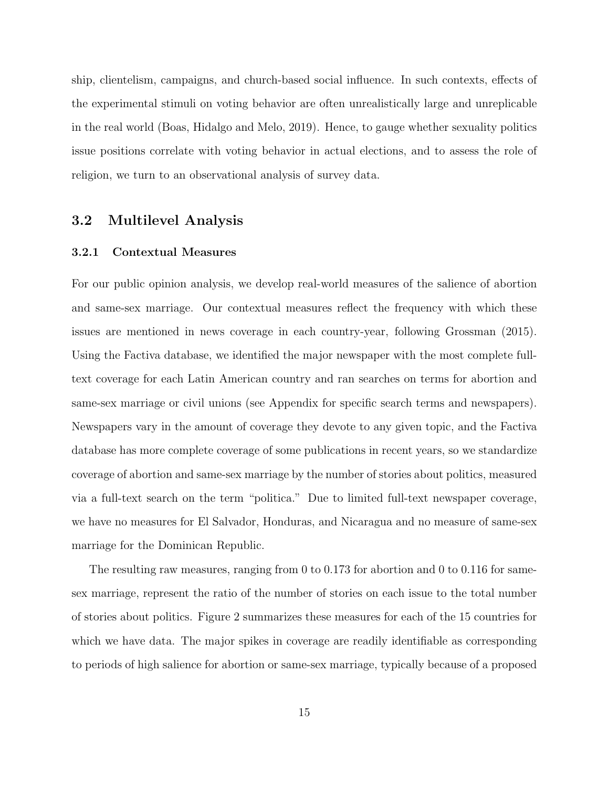ship, clientelism, campaigns, and church-based social influence. In such contexts, effects of the experimental stimuli on voting behavior are often unrealistically large and unreplicable in the real world [\(Boas, Hidalgo and Melo, 2019\)](#page-30-7). Hence, to gauge whether sexuality politics issue positions correlate with voting behavior in actual elections, and to assess the role of religion, we turn to an observational analysis of survey data.

## 3.2 Multilevel Analysis

## 3.2.1 Contextual Measures

For our public opinion analysis, we develop real-world measures of the salience of abortion and same-sex marriage. Our contextual measures reflect the frequency with which these issues are mentioned in news coverage in each country-year, following [Grossman](#page-33-1) [\(2015\)](#page-33-1). Using the Factiva database, we identified the major newspaper with the most complete fulltext coverage for each Latin American country and ran searches on terms for abortion and same-sex marriage or civil unions (see Appendix for specific search terms and newspapers). Newspapers vary in the amount of coverage they devote to any given topic, and the Factiva database has more complete coverage of some publications in recent years, so we standardize coverage of abortion and same-sex marriage by the number of stories about politics, measured via a full-text search on the term "politica." Due to limited full-text newspaper coverage, we have no measures for El Salvador, Honduras, and Nicaragua and no measure of same-sex marriage for the Dominican Republic.

The resulting raw measures, ranging from 0 to 0.173 for abortion and 0 to 0.116 for samesex marriage, represent the ratio of the number of stories on each issue to the total number of stories about politics. Figure [2](#page-17-0) summarizes these measures for each of the 15 countries for which we have data. The major spikes in coverage are readily identifiable as corresponding to periods of high salience for abortion or same-sex marriage, typically because of a proposed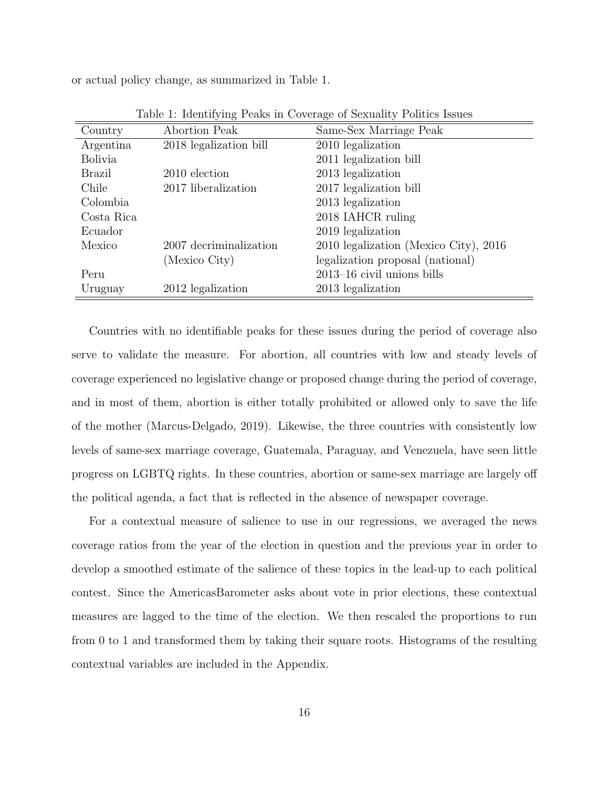or actual policy change, as summarized in Table [1.](#page-16-0)

| Country        | Abortion Peak          | Same-Sex Marriage Peak                |
|----------------|------------------------|---------------------------------------|
| Argentina      | 2018 legalization bill | 2010 legalization                     |
| <b>Bolivia</b> |                        | 2011 legalization bill                |
| <b>Brazil</b>  | 2010 election          | 2013 legalization                     |
| Chile          | 2017 liberalization    | 2017 legalization bill                |
| Colombia       |                        | 2013 legalization                     |
| Costa Rica     |                        | 2018 IAHCR ruling                     |
| Ecuador        |                        | 2019 legalization                     |
| Mexico         | 2007 decriminalization | 2010 legalization (Mexico City), 2016 |
|                | (Mexico City)          | legalization proposal (national)      |
| Peru           |                        | $2013-16$ civil unions bills          |
| Uruguay        | 2012 legalization      | 2013 legalization                     |

<span id="page-16-0"></span>Table 1: Identifying Peaks in Coverage of Sexuality Politics Issues

Countries with no identifiable peaks for these issues during the period of coverage also serve to validate the measure. For abortion, all countries with low and steady levels of coverage experienced no legislative change or proposed change during the period of coverage, and in most of them, abortion is either totally prohibited or allowed only to save the life of the mother [\(Marcus-Delgado, 2019\)](#page-35-2). Likewise, the three countries with consistently low levels of same-sex marriage coverage, Guatemala, Paraguay, and Venezuela, have seen little progress on LGBTQ rights. In these countries, abortion or same-sex marriage are largely off the political agenda, a fact that is reflected in the absence of newspaper coverage.

For a contextual measure of salience to use in our regressions, we averaged the news coverage ratios from the year of the election in question and the previous year in order to develop a smoothed estimate of the salience of these topics in the lead-up to each political contest. Since the AmericasBarometer asks about vote in prior elections, these contextual measures are lagged to the time of the election. We then rescaled the proportions to run from 0 to 1 and transformed them by taking their square roots. Histograms of the resulting contextual variables are included in the Appendix.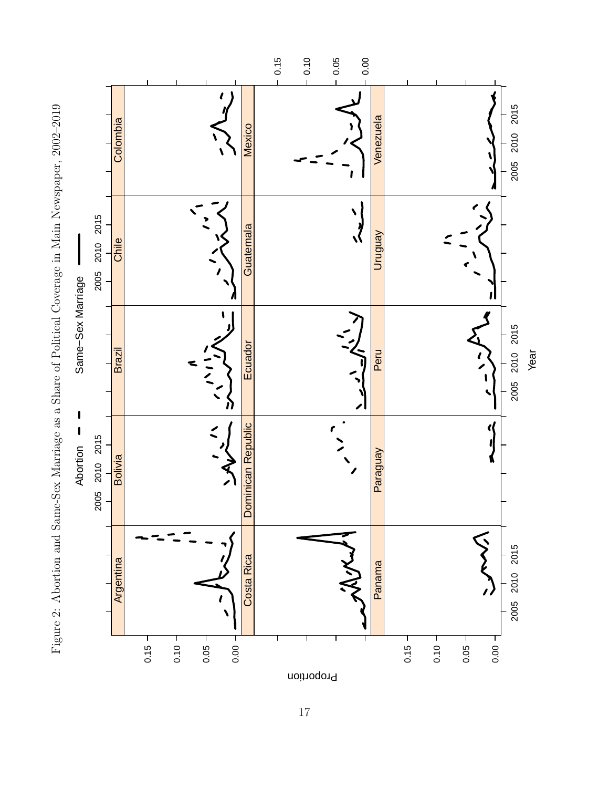<span id="page-17-0"></span>

17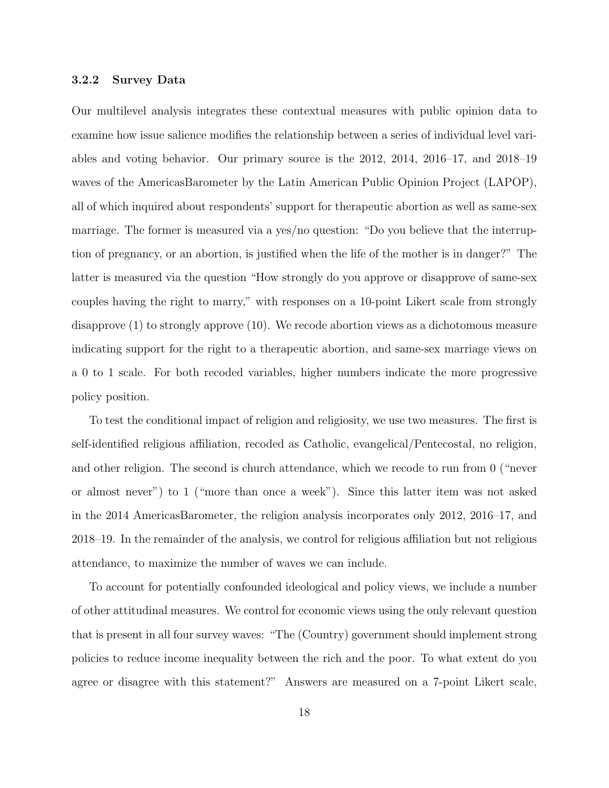## 3.2.2 Survey Data

Our multilevel analysis integrates these contextual measures with public opinion data to examine how issue salience modifies the relationship between a series of individual level variables and voting behavior. Our primary source is the 2012, 2014, 2016–17, and 2018–19 waves of the AmericasBarometer by the Latin American Public Opinion Project (LAPOP), all of which inquired about respondents' support for therapeutic abortion as well as same-sex marriage. The former is measured via a yes/no question: "Do you believe that the interruption of pregnancy, or an abortion, is justified when the life of the mother is in danger?" The latter is measured via the question "How strongly do you approve or disapprove of same-sex couples having the right to marry," with responses on a 10-point Likert scale from strongly disapprove (1) to strongly approve (10). We recode abortion views as a dichotomous measure indicating support for the right to a therapeutic abortion, and same-sex marriage views on a 0 to 1 scale. For both recoded variables, higher numbers indicate the more progressive policy position.

To test the conditional impact of religion and religiosity, we use two measures. The first is self-identified religious affiliation, recoded as Catholic, evangelical/Pentecostal, no religion, and other religion. The second is church attendance, which we recode to run from 0 ("never or almost never") to 1 ("more than once a week"). Since this latter item was not asked in the 2014 AmericasBarometer, the religion analysis incorporates only 2012, 2016–17, and 2018–19. In the remainder of the analysis, we control for religious affiliation but not religious attendance, to maximize the number of waves we can include.

To account for potentially confounded ideological and policy views, we include a number of other attitudinal measures. We control for economic views using the only relevant question that is present in all four survey waves: "The (Country) government should implement strong policies to reduce income inequality between the rich and the poor. To what extent do you agree or disagree with this statement?" Answers are measured on a 7-point Likert scale,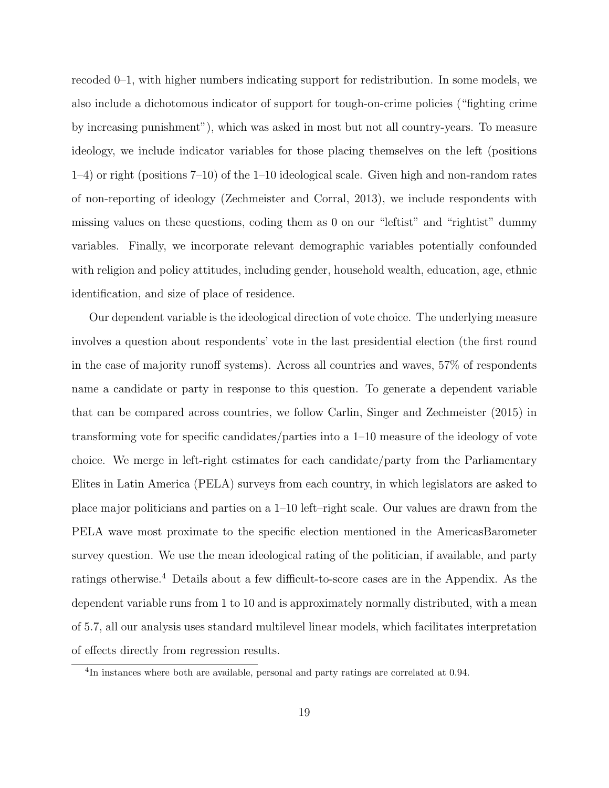recoded 0–1, with higher numbers indicating support for redistribution. In some models, we also include a dichotomous indicator of support for tough-on-crime policies ("fighting crime by increasing punishment"), which was asked in most but not all country-years. To measure ideology, we include indicator variables for those placing themselves on the left (positions 1–4) or right (positions 7–10) of the 1–10 ideological scale. Given high and non-random rates of non-reporting of ideology [\(Zechmeister and Corral, 2013\)](#page-37-1), we include respondents with missing values on these questions, coding them as 0 on our "leftist" and "rightist" dummy variables. Finally, we incorporate relevant demographic variables potentially confounded with religion and policy attitudes, including gender, household wealth, education, age, ethnic identification, and size of place of residence.

Our dependent variable is the ideological direction of vote choice. The underlying measure involves a question about respondents' vote in the last presidential election (the first round in the case of majority runoff systems). Across all countries and waves, 57% of respondents name a candidate or party in response to this question. To generate a dependent variable that can be compared across countries, we follow [Carlin, Singer and Zechmeister](#page-31-0) [\(2015\)](#page-31-0) in transforming vote for specific candidates/parties into a 1–10 measure of the ideology of vote choice. We merge in left-right estimates for each candidate/party from the Parliamentary Elites in Latin America (PELA) surveys from each country, in which legislators are asked to place major politicians and parties on a 1–10 left–right scale. Our values are drawn from the PELA wave most proximate to the specific election mentioned in the AmericasBarometer survey question. We use the mean ideological rating of the politician, if available, and party ratings otherwise.[4](#page-19-0) Details about a few difficult-to-score cases are in the Appendix. As the dependent variable runs from 1 to 10 and is approximately normally distributed, with a mean of 5.7, all our analysis uses standard multilevel linear models, which facilitates interpretation of effects directly from regression results.

<span id="page-19-0"></span><sup>&</sup>lt;sup>4</sup>In instances where both are available, personal and party ratings are correlated at 0.94.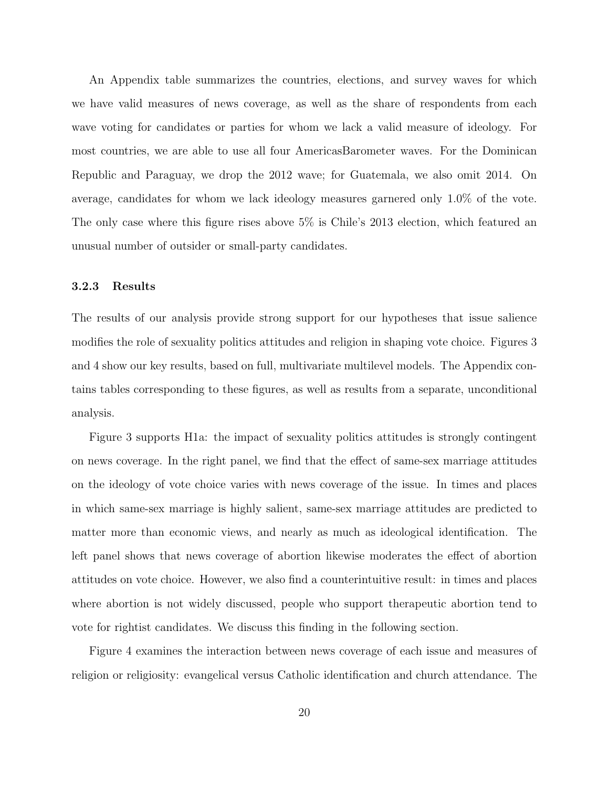An Appendix table summarizes the countries, elections, and survey waves for which we have valid measures of news coverage, as well as the share of respondents from each wave voting for candidates or parties for whom we lack a valid measure of ideology. For most countries, we are able to use all four AmericasBarometer waves. For the Dominican Republic and Paraguay, we drop the 2012 wave; for Guatemala, we also omit 2014. On average, candidates for whom we lack ideology measures garnered only 1.0% of the vote. The only case where this figure rises above 5% is Chile's 2013 election, which featured an unusual number of outsider or small-party candidates.

## 3.2.3 Results

The results of our analysis provide strong support for our hypotheses that issue salience modifies the role of sexuality politics attitudes and religion in shaping vote choice. Figures [3](#page-21-0) and [4](#page-22-0) show our key results, based on full, multivariate multilevel models. The Appendix contains tables corresponding to these figures, as well as results from a separate, unconditional analysis.

Figure [3](#page-21-0) supports H1a: the impact of sexuality politics attitudes is strongly contingent on news coverage. In the right panel, we find that the effect of same-sex marriage attitudes on the ideology of vote choice varies with news coverage of the issue. In times and places in which same-sex marriage is highly salient, same-sex marriage attitudes are predicted to matter more than economic views, and nearly as much as ideological identification. The left panel shows that news coverage of abortion likewise moderates the effect of abortion attitudes on vote choice. However, we also find a counterintuitive result: in times and places where abortion is not widely discussed, people who support therapeutic abortion tend to vote for rightist candidates. We discuss this finding in the following section.

Figure [4](#page-22-0) examines the interaction between news coverage of each issue and measures of religion or religiosity: evangelical versus Catholic identification and church attendance. The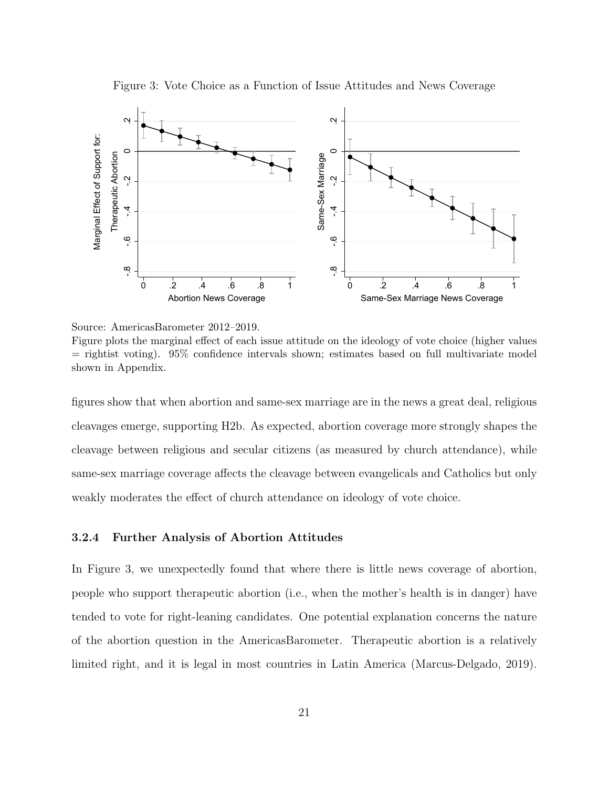

<span id="page-21-0"></span>Figure 3: Vote Choice as a Function of Issue Attitudes and News Coverage

figures show that when abortion and same-sex marriage are in the news a great deal, religious cleavages emerge, supporting H2b. As expected, abortion coverage more strongly shapes the cleavage between religious and secular citizens (as measured by church attendance), while same-sex marriage coverage affects the cleavage between evangelicals and Catholics but only weakly moderates the effect of church attendance on ideology of vote choice.

## 3.2.4 Further Analysis of Abortion Attitudes

In Figure [3,](#page-21-0) we unexpectedly found that where there is little news coverage of abortion, people who support therapeutic abortion (i.e., when the mother's health is in danger) have tended to vote for right-leaning candidates. One potential explanation concerns the nature of the abortion question in the AmericasBarometer. Therapeutic abortion is a relatively limited right, and it is legal in most countries in Latin America [\(Marcus-Delgado, 2019\)](#page-35-2).

Source: AmericasBarometer 2012–2019.

Figure plots the marginal effect of each issue attitude on the ideology of vote choice (higher values  $=$  rightist voting). 95% confidence intervals shown; estimates based on full multivariate model shown in Appendix.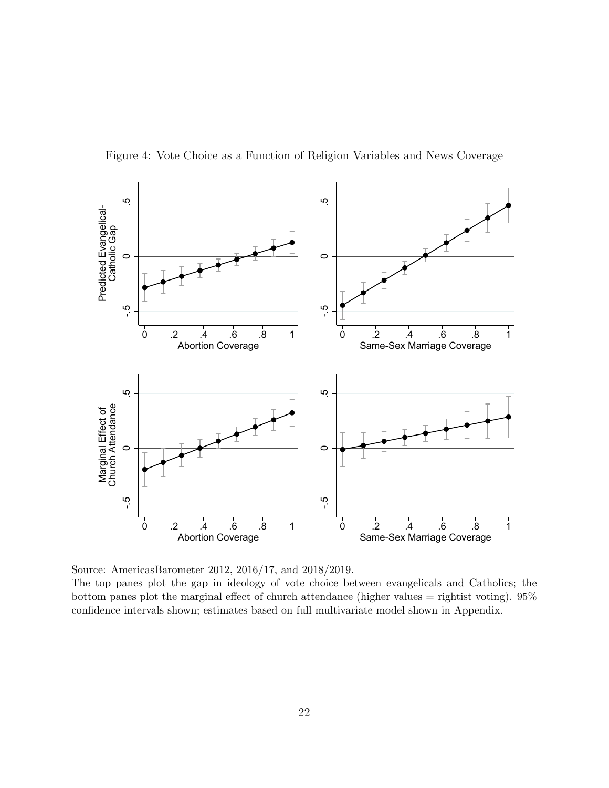

<span id="page-22-0"></span>Figure 4: Vote Choice as a Function of Religion Variables and News Coverage

The top panes plot the gap in ideology of vote choice between evangelicals and Catholics; the bottom panes plot the marginal effect of church attendance (higher values  $=$  rightist voting). 95% confidence intervals shown; estimates based on full multivariate model shown in Appendix.

Source: AmericasBarometer 2012, 2016/17, and 2018/2019.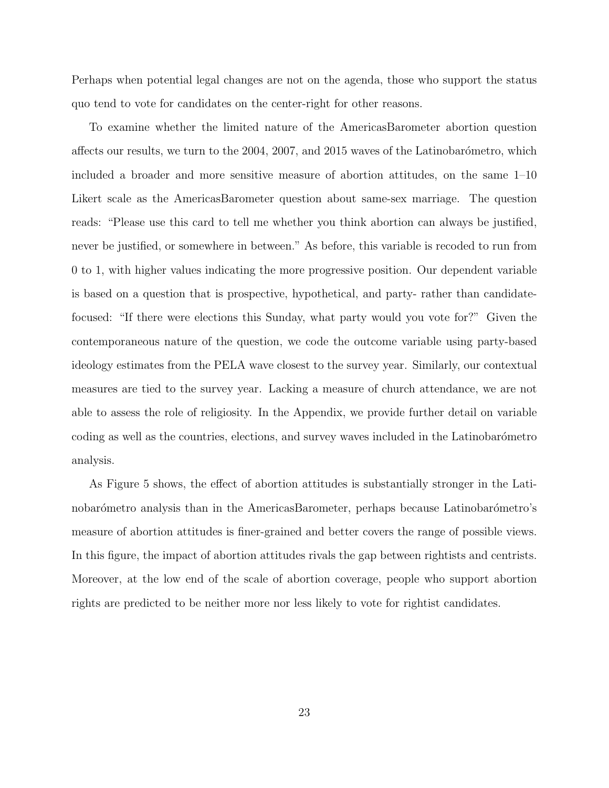Perhaps when potential legal changes are not on the agenda, those who support the status quo tend to vote for candidates on the center-right for other reasons.

To examine whether the limited nature of the AmericasBarometer abortion question affects our results, we turn to the  $2004$ ,  $2007$ , and  $2015$  waves of the Latinobarómetro, which included a broader and more sensitive measure of abortion attitudes, on the same 1–10 Likert scale as the AmericasBarometer question about same-sex marriage. The question reads: "Please use this card to tell me whether you think abortion can always be justified, never be justified, or somewhere in between." As before, this variable is recoded to run from 0 to 1, with higher values indicating the more progressive position. Our dependent variable is based on a question that is prospective, hypothetical, and party- rather than candidatefocused: "If there were elections this Sunday, what party would you vote for?" Given the contemporaneous nature of the question, we code the outcome variable using party-based ideology estimates from the PELA wave closest to the survey year. Similarly, our contextual measures are tied to the survey year. Lacking a measure of church attendance, we are not able to assess the role of religiosity. In the Appendix, we provide further detail on variable coding as well as the countries, elections, and survey waves included in the Latinobarómetro analysis.

As Figure [5](#page-24-0) shows, the effect of abortion attitudes is substantially stronger in the Latinobarómetro analysis than in the AmericasBarometer, perhaps because Latinobarómetro's measure of abortion attitudes is finer-grained and better covers the range of possible views. In this figure, the impact of abortion attitudes rivals the gap between rightists and centrists. Moreover, at the low end of the scale of abortion coverage, people who support abortion rights are predicted to be neither more nor less likely to vote for rightist candidates.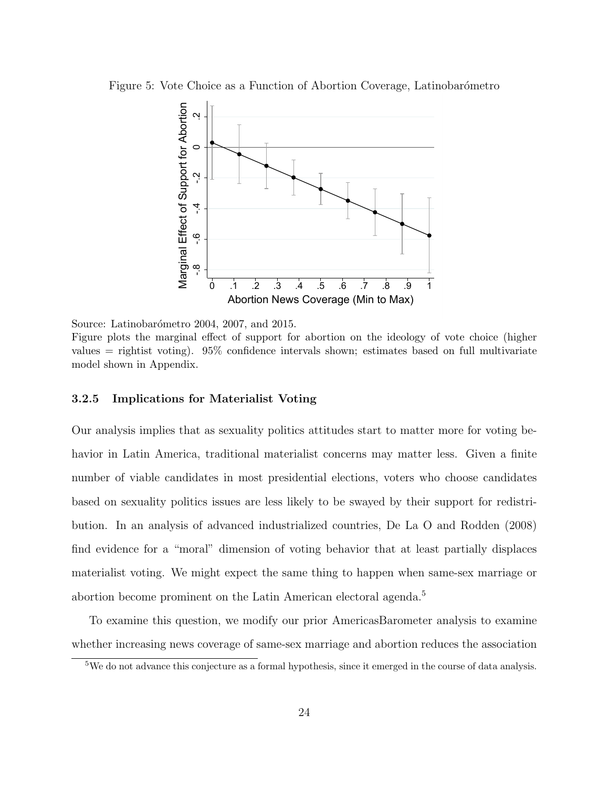Figure 5: Vote Choice as a Function of Abortion Coverage, Latinobarómetro

<span id="page-24-0"></span>

Source: Latinobarómetro 2004, 2007, and 2015. Figure plots the marginal effect of support for abortion on the ideology of vote choice (higher values = rightist voting). 95% confidence intervals shown; estimates based on full multivariate model shown in Appendix.

#### 3.2.5 Implications for Materialist Voting

Our analysis implies that as sexuality politics attitudes start to matter more for voting behavior in Latin America, traditional materialist concerns may matter less. Given a finite number of viable candidates in most presidential elections, voters who choose candidates based on sexuality politics issues are less likely to be swayed by their support for redistribution. In an analysis of advanced industrialized countries, [De La O and Rodden](#page-32-7) [\(2008\)](#page-32-7) find evidence for a "moral" dimension of voting behavior that at least partially displaces materialist voting. We might expect the same thing to happen when same-sex marriage or abortion become prominent on the Latin American electoral agenda.<sup>[5](#page-24-1)</sup>

To examine this question, we modify our prior AmericasBarometer analysis to examine whether increasing news coverage of same-sex marriage and abortion reduces the association

<span id="page-24-1"></span><sup>5</sup>We do not advance this conjecture as a formal hypothesis, since it emerged in the course of data analysis.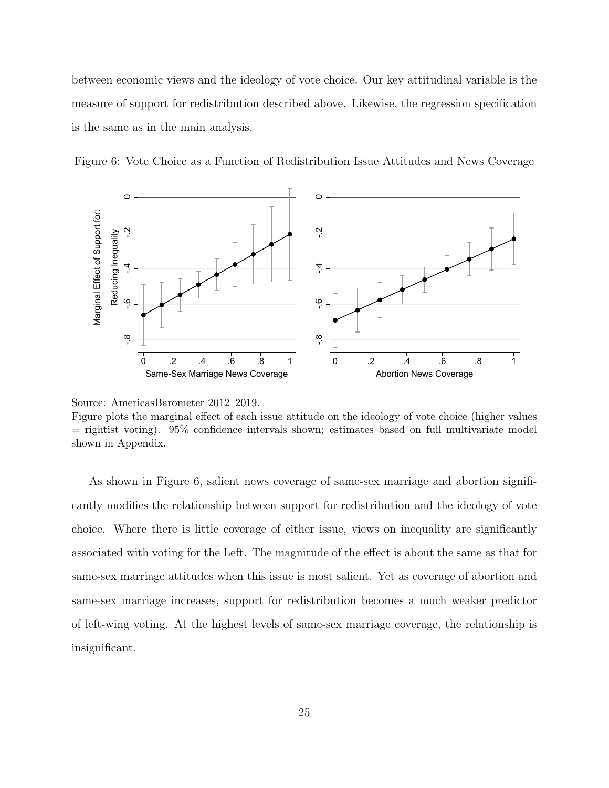between economic views and the ideology of vote choice. Our key attitudinal variable is the measure of support for redistribution described above. Likewise, the regression specification is the same as in the main analysis.



<span id="page-25-0"></span>Figure 6: Vote Choice as a Function of Redistribution Issue Attitudes and News Coverage

As shown in Figure [6,](#page-25-0) salient news coverage of same-sex marriage and abortion significantly modifies the relationship between support for redistribution and the ideology of vote choice. Where there is little coverage of either issue, views on inequality are significantly associated with voting for the Left. The magnitude of the effect is about the same as that for same-sex marriage attitudes when this issue is most salient. Yet as coverage of abortion and same-sex marriage increases, support for redistribution becomes a much weaker predictor of left-wing voting. At the highest levels of same-sex marriage coverage, the relationship is insignificant.

Source: AmericasBarometer 2012–2019.

Figure plots the marginal effect of each issue attitude on the ideology of vote choice (higher values  $=$  rightist voting). 95% confidence intervals shown; estimates based on full multivariate model shown in Appendix.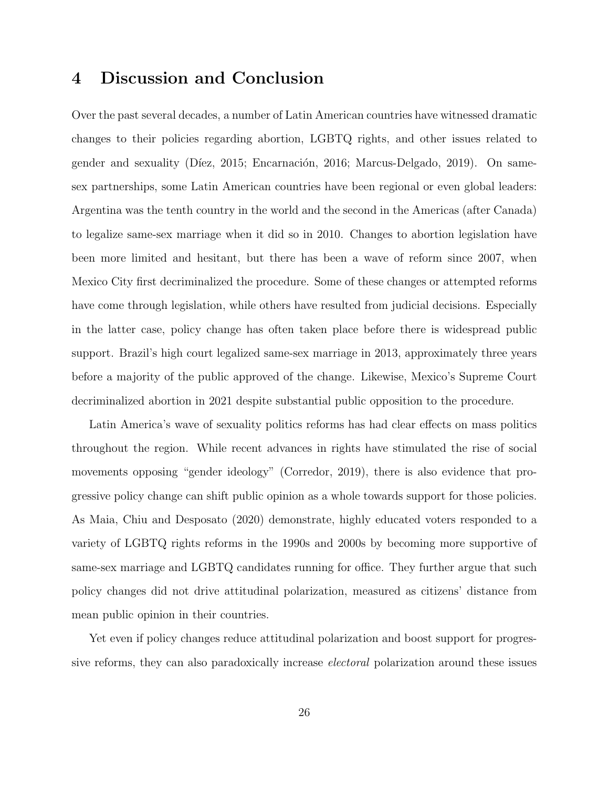# 4 Discussion and Conclusion

Over the past several decades, a number of Latin American countries have witnessed dramatic changes to their policies regarding abortion, LGBTQ rights, and other issues related to gender and sexuality (Díez, 2015; Encarnación, 2016; [Marcus-Delgado, 2019\)](#page-35-2). On samesex partnerships, some Latin American countries have been regional or even global leaders: Argentina was the tenth country in the world and the second in the Americas (after Canada) to legalize same-sex marriage when it did so in 2010. Changes to abortion legislation have been more limited and hesitant, but there has been a wave of reform since 2007, when Mexico City first decriminalized the procedure. Some of these changes or attempted reforms have come through legislation, while others have resulted from judicial decisions. Especially in the latter case, policy change has often taken place before there is widespread public support. Brazil's high court legalized same-sex marriage in 2013, approximately three years before a majority of the public approved of the change. Likewise, Mexico's Supreme Court decriminalized abortion in 2021 despite substantial public opposition to the procedure.

Latin America's wave of sexuality politics reforms has had clear effects on mass politics throughout the region. While recent advances in rights have stimulated the rise of social movements opposing "gender ideology" [\(Corredor, 2019\)](#page-32-6), there is also evidence that progressive policy change can shift public opinion as a whole towards support for those policies. As [Maia, Chiu and Desposato](#page-35-3) [\(2020\)](#page-35-3) demonstrate, highly educated voters responded to a variety of LGBTQ rights reforms in the 1990s and 2000s by becoming more supportive of same-sex marriage and LGBTQ candidates running for office. They further argue that such policy changes did not drive attitudinal polarization, measured as citizens' distance from mean public opinion in their countries.

Yet even if policy changes reduce attitudinal polarization and boost support for progressive reforms, they can also paradoxically increase electoral polarization around these issues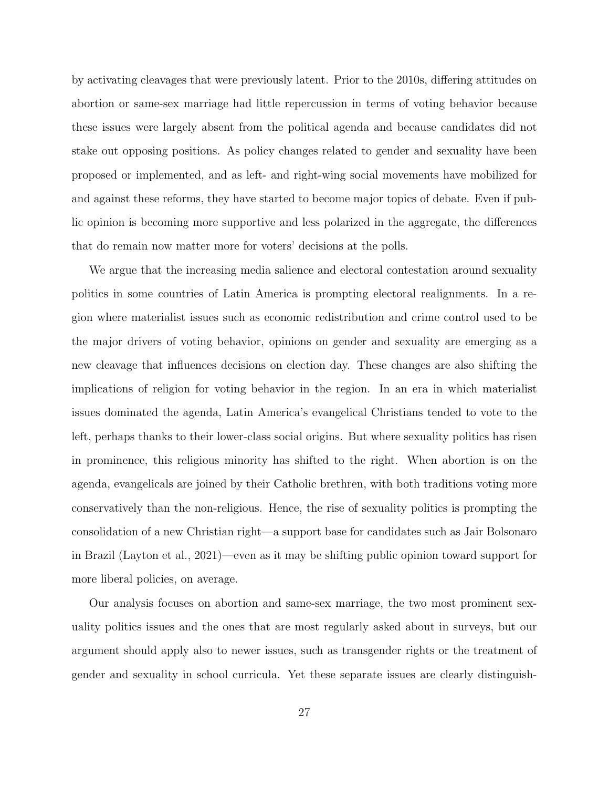by activating cleavages that were previously latent. Prior to the 2010s, differing attitudes on abortion or same-sex marriage had little repercussion in terms of voting behavior because these issues were largely absent from the political agenda and because candidates did not stake out opposing positions. As policy changes related to gender and sexuality have been proposed or implemented, and as left- and right-wing social movements have mobilized for and against these reforms, they have started to become major topics of debate. Even if public opinion is becoming more supportive and less polarized in the aggregate, the differences that do remain now matter more for voters' decisions at the polls.

We argue that the increasing media salience and electoral contestation around sexuality politics in some countries of Latin America is prompting electoral realignments. In a region where materialist issues such as economic redistribution and crime control used to be the major drivers of voting behavior, opinions on gender and sexuality are emerging as a new cleavage that influences decisions on election day. These changes are also shifting the implications of religion for voting behavior in the region. In an era in which materialist issues dominated the agenda, Latin America's evangelical Christians tended to vote to the left, perhaps thanks to their lower-class social origins. But where sexuality politics has risen in prominence, this religious minority has shifted to the right. When abortion is on the agenda, evangelicals are joined by their Catholic brethren, with both traditions voting more conservatively than the non-religious. Hence, the rise of sexuality politics is prompting the consolidation of a new Christian right—a support base for candidates such as Jair Bolsonaro in Brazil [\(Layton et al., 2021\)](#page-34-5)—even as it may be shifting public opinion toward support for more liberal policies, on average.

Our analysis focuses on abortion and same-sex marriage, the two most prominent sexuality politics issues and the ones that are most regularly asked about in surveys, but our argument should apply also to newer issues, such as transgender rights or the treatment of gender and sexuality in school curricula. Yet these separate issues are clearly distinguish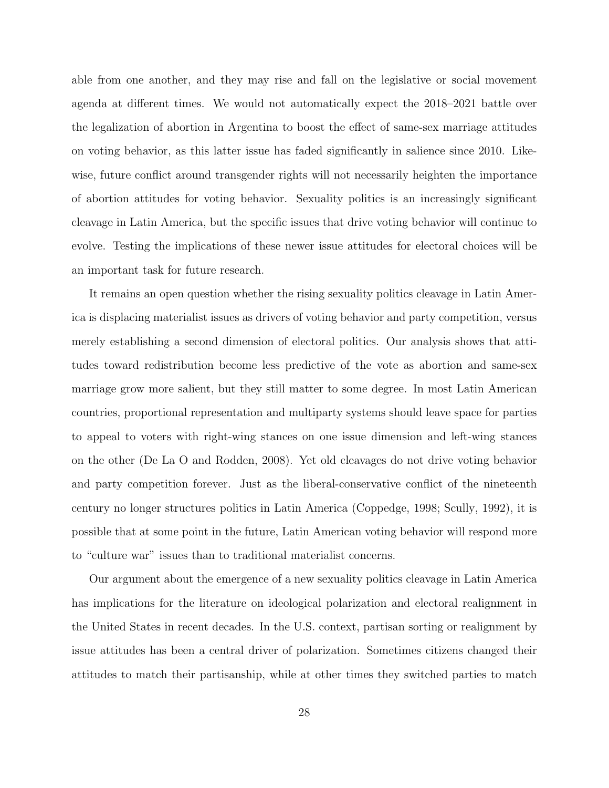able from one another, and they may rise and fall on the legislative or social movement agenda at different times. We would not automatically expect the 2018–2021 battle over the legalization of abortion in Argentina to boost the effect of same-sex marriage attitudes on voting behavior, as this latter issue has faded significantly in salience since 2010. Likewise, future conflict around transgender rights will not necessarily heighten the importance of abortion attitudes for voting behavior. Sexuality politics is an increasingly significant cleavage in Latin America, but the specific issues that drive voting behavior will continue to evolve. Testing the implications of these newer issue attitudes for electoral choices will be an important task for future research.

It remains an open question whether the rising sexuality politics cleavage in Latin America is displacing materialist issues as drivers of voting behavior and party competition, versus merely establishing a second dimension of electoral politics. Our analysis shows that attitudes toward redistribution become less predictive of the vote as abortion and same-sex marriage grow more salient, but they still matter to some degree. In most Latin American countries, proportional representation and multiparty systems should leave space for parties to appeal to voters with right-wing stances on one issue dimension and left-wing stances on the other [\(De La O and Rodden, 2008\)](#page-32-7). Yet old cleavages do not drive voting behavior and party competition forever. Just as the liberal-conservative conflict of the nineteenth century no longer structures politics in Latin America [\(Coppedge, 1998;](#page-31-5) [Scully, 1992\)](#page-37-5), it is possible that at some point in the future, Latin American voting behavior will respond more to "culture war" issues than to traditional materialist concerns.

Our argument about the emergence of a new sexuality politics cleavage in Latin America has implications for the literature on ideological polarization and electoral realignment in the United States in recent decades. In the U.S. context, partisan sorting or realignment by issue attitudes has been a central driver of polarization. Sometimes citizens changed their attitudes to match their partisanship, while at other times they switched parties to match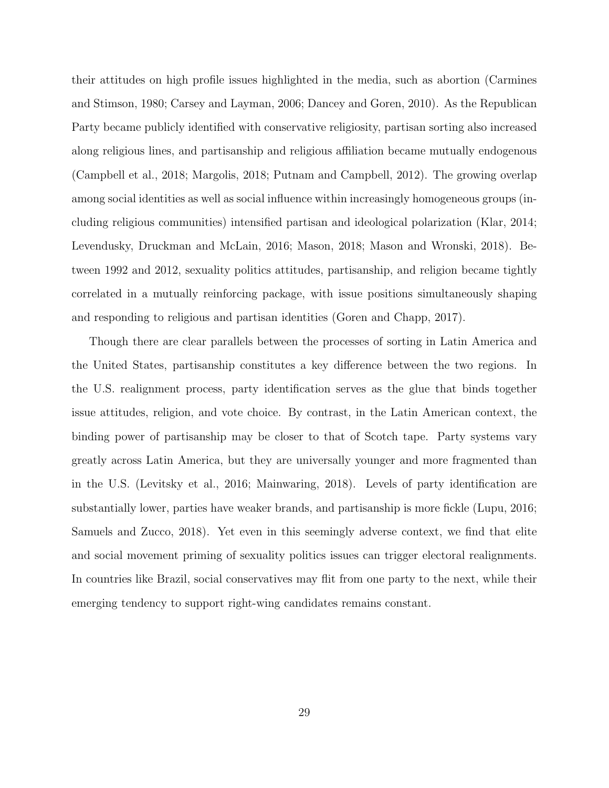their attitudes on high profile issues highlighted in the media, such as abortion [\(Carmines](#page-31-6) [and Stimson, 1980;](#page-31-6) [Carsey and Layman, 2006;](#page-31-7) [Dancey and Goren, 2010\)](#page-32-9). As the Republican Party became publicly identified with conservative religiosity, partisan sorting also increased along religious lines, and partisanship and religious affiliation became mutually endogenous [\(Campbell et al., 2018;](#page-31-8) [Margolis, 2018;](#page-35-4) [Putnam and Campbell, 2012\)](#page-36-8). The growing overlap among social identities as well as social influence within increasingly homogeneous groups (including religious communities) intensified partisan and ideological polarization [\(Klar, 2014;](#page-34-6) [Levendusky, Druckman and McLain, 2016;](#page-34-7) [Mason, 2018;](#page-35-5) [Mason and Wronski, 2018\)](#page-35-6). Between 1992 and 2012, sexuality politics attitudes, partisanship, and religion became tightly correlated in a mutually reinforcing package, with issue positions simultaneously shaping and responding to religious and partisan identities [\(Goren and Chapp, 2017\)](#page-33-9).

Though there are clear parallels between the processes of sorting in Latin America and the United States, partisanship constitutes a key difference between the two regions. In the U.S. realignment process, party identification serves as the glue that binds together issue attitudes, religion, and vote choice. By contrast, in the Latin American context, the binding power of partisanship may be closer to that of Scotch tape. Party systems vary greatly across Latin America, but they are universally younger and more fragmented than in the U.S. [\(Levitsky et al., 2016;](#page-34-8) [Mainwaring, 2018\)](#page-35-7). Levels of party identification are substantially lower, parties have weaker brands, and partisanship is more fickle [\(Lupu, 2016;](#page-35-8) [Samuels and Zucco, 2018\)](#page-36-9). Yet even in this seemingly adverse context, we find that elite and social movement priming of sexuality politics issues can trigger electoral realignments. In countries like Brazil, social conservatives may flit from one party to the next, while their emerging tendency to support right-wing candidates remains constant.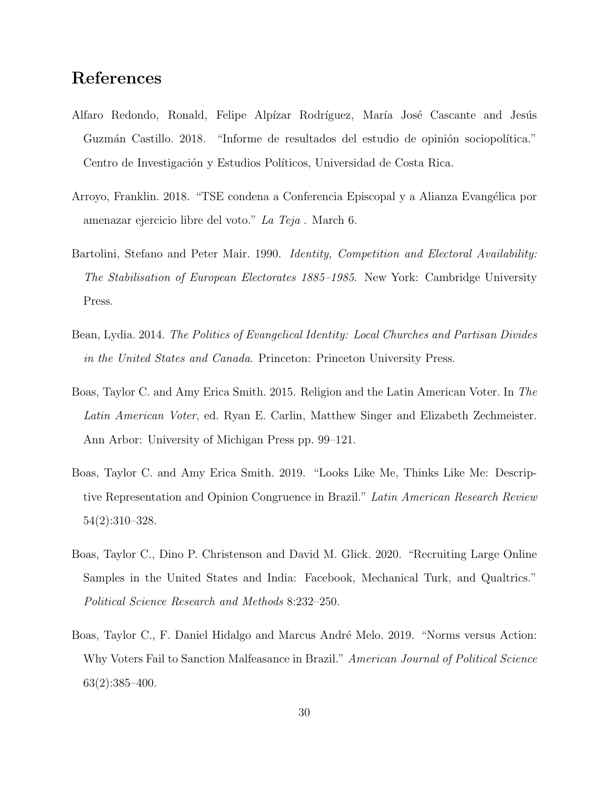# References

- <span id="page-30-0"></span>Alfaro Redondo, Ronald, Felipe Alpízar Rodríguez, María José Cascante and Jesús Guzmán Castillo. 2018. "Informe de resultados del estudio de opinión sociopolítica." Centro de Investigación y Estudios Políticos, Universidad de Costa Rica.
- <span id="page-30-1"></span>Arroyo, Franklin. 2018. "TSE condena a Conferencia Episcopal y a Alianza Evangélica por amenazar ejercicio libre del voto." La Teja . March 6.
- <span id="page-30-2"></span>Bartolini, Stefano and Peter Mair. 1990. *Identity, Competition and Electoral Availability:* The Stabilisation of European Electorates 1885–1985. New York: Cambridge University Press.
- <span id="page-30-4"></span>Bean, Lydia. 2014. The Politics of Evangelical Identity: Local Churches and Partisan Divides in the United States and Canada. Princeton: Princeton University Press.
- <span id="page-30-3"></span>Boas, Taylor C. and Amy Erica Smith. 2015. Religion and the Latin American Voter. In The Latin American Voter, ed. Ryan E. Carlin, Matthew Singer and Elizabeth Zechmeister. Ann Arbor: University of Michigan Press pp. 99–121.
- <span id="page-30-5"></span>Boas, Taylor C. and Amy Erica Smith. 2019. "Looks Like Me, Thinks Like Me: Descriptive Representation and Opinion Congruence in Brazil." Latin American Research Review 54(2):310–328.
- <span id="page-30-6"></span>Boas, Taylor C., Dino P. Christenson and David M. Glick. 2020. "Recruiting Large Online Samples in the United States and India: Facebook, Mechanical Turk, and Qualtrics." Political Science Research and Methods 8:232–250.
- <span id="page-30-7"></span>Boas, Taylor C., F. Daniel Hidalgo and Marcus André Melo. 2019. "Norms versus Action: Why Voters Fail to Sanction Malfeasance in Brazil." American Journal of Political Science 63(2):385–400.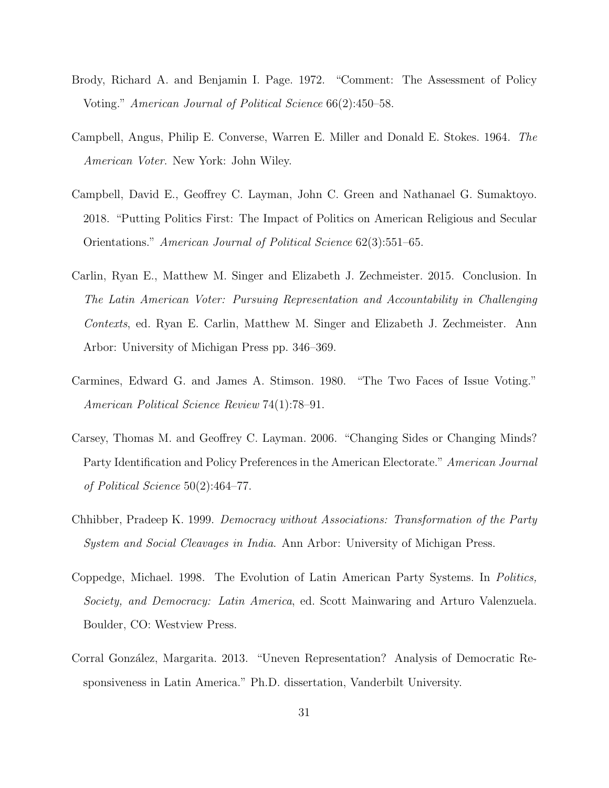- <span id="page-31-2"></span>Brody, Richard A. and Benjamin I. Page. 1972. "Comment: The Assessment of Policy Voting." American Journal of Political Science 66(2):450–58.
- <span id="page-31-1"></span>Campbell, Angus, Philip E. Converse, Warren E. Miller and Donald E. Stokes. 1964. The American Voter. New York: John Wiley.
- <span id="page-31-8"></span>Campbell, David E., Geoffrey C. Layman, John C. Green and Nathanael G. Sumaktoyo. 2018. "Putting Politics First: The Impact of Politics on American Religious and Secular Orientations." American Journal of Political Science 62(3):551–65.
- <span id="page-31-0"></span>Carlin, Ryan E., Matthew M. Singer and Elizabeth J. Zechmeister. 2015. Conclusion. In The Latin American Voter: Pursuing Representation and Accountability in Challenging Contexts, ed. Ryan E. Carlin, Matthew M. Singer and Elizabeth J. Zechmeister. Ann Arbor: University of Michigan Press pp. 346–369.
- <span id="page-31-6"></span>Carmines, Edward G. and James A. Stimson. 1980. "The Two Faces of Issue Voting." American Political Science Review 74(1):78–91.
- <span id="page-31-7"></span>Carsey, Thomas M. and Geoffrey C. Layman. 2006. "Changing Sides or Changing Minds? Party Identification and Policy Preferences in the American Electorate." American Journal of Political Science 50(2):464–77.
- <span id="page-31-4"></span>Chhibber, Pradeep K. 1999. Democracy without Associations: Transformation of the Party System and Social Cleavages in India. Ann Arbor: University of Michigan Press.
- <span id="page-31-5"></span>Coppedge, Michael. 1998. The Evolution of Latin American Party Systems. In Politics, Society, and Democracy: Latin America, ed. Scott Mainwaring and Arturo Valenzuela. Boulder, CO: Westview Press.
- <span id="page-31-3"></span>Corral González, Margarita. 2013. "Uneven Representation? Analysis of Democratic Responsiveness in Latin America." Ph.D. dissertation, Vanderbilt University.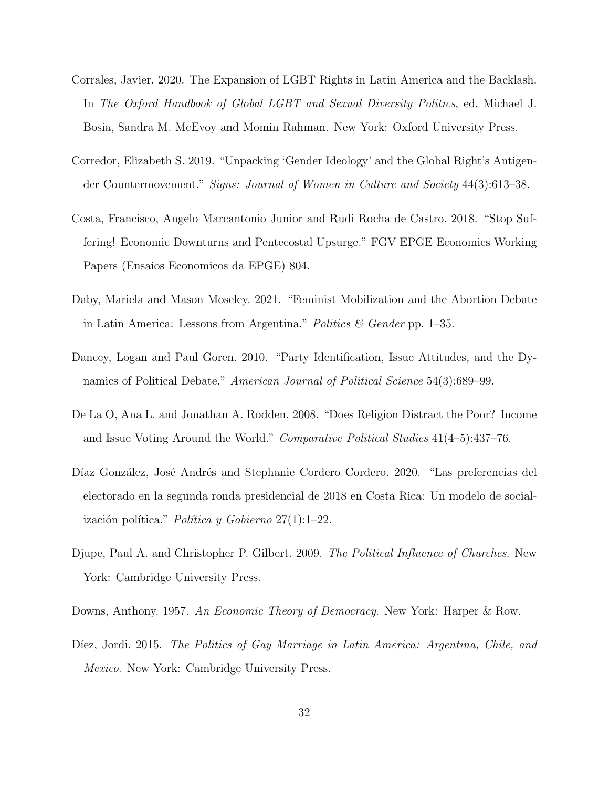- <span id="page-32-3"></span>Corrales, Javier. 2020. The Expansion of LGBT Rights in Latin America and the Backlash. In The Oxford Handbook of Global LGBT and Sexual Diversity Politics, ed. Michael J. Bosia, Sandra M. McEvoy and Momin Rahman. New York: Oxford University Press.
- <span id="page-32-6"></span>Corredor, Elizabeth S. 2019. "Unpacking 'Gender Ideology' and the Global Right's Antigender Countermovement." Signs: Journal of Women in Culture and Society 44(3):613–38.
- <span id="page-32-4"></span>Costa, Francisco, Angelo Marcantonio Junior and Rudi Rocha de Castro. 2018. "Stop Suffering! Economic Downturns and Pentecostal Upsurge." FGV EPGE Economics Working Papers (Ensaios Economicos da EPGE) 804.
- <span id="page-32-1"></span>Daby, Mariela and Mason Moseley. 2021. "Feminist Mobilization and the Abortion Debate in Latin America: Lessons from Argentina." Politics  $\mathcal C$  Gender pp. 1–35.
- <span id="page-32-9"></span>Dancey, Logan and Paul Goren. 2010. "Party Identification, Issue Attitudes, and the Dynamics of Political Debate." American Journal of Political Science 54(3):689–99.
- <span id="page-32-7"></span>De La O, Ana L. and Jonathan A. Rodden. 2008. "Does Religion Distract the Poor? Income and Issue Voting Around the World." Comparative Political Studies 41(4–5):437–76.
- <span id="page-32-0"></span>Díaz González, José Andrés and Stephanie Cordero Cordero. 2020. "Las preferencias del electorado en la segunda ronda presidencial de 2018 en Costa Rica: Un modelo de socialización política." Política y Gobierno  $27(1):1-22$ .
- <span id="page-32-8"></span>Djupe, Paul A. and Christopher P. Gilbert. 2009. The Political Influence of Churches. New York: Cambridge University Press.
- <span id="page-32-2"></span>Downs, Anthony. 1957. An Economic Theory of Democracy. New York: Harper & Row.
- <span id="page-32-5"></span>Díez, Jordi. 2015. The Politics of Gay Marriage in Latin America: Argentina, Chile, and Mexico. New York: Cambridge University Press.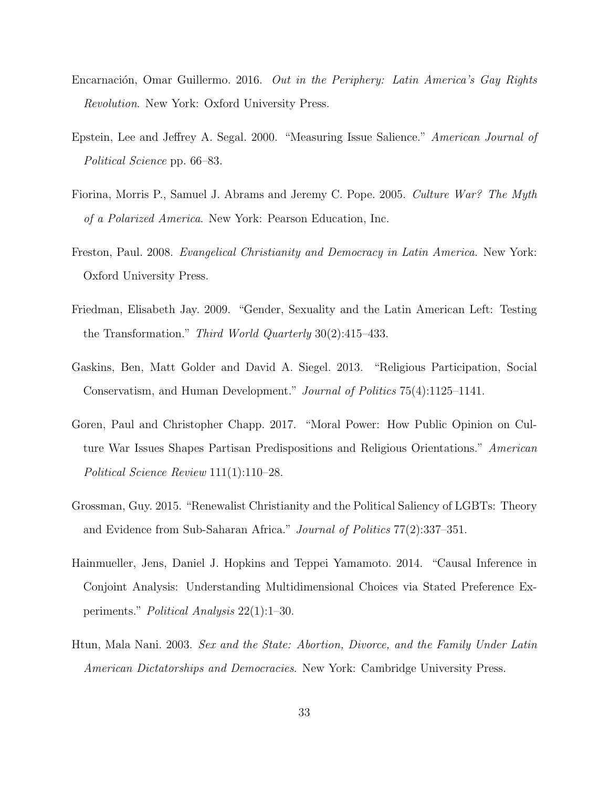- <span id="page-33-6"></span>Encarnación, Omar Guillermo. 2016. *Out in the Periphery: Latin America's Gay Rights* Revolution. New York: Oxford University Press.
- <span id="page-33-0"></span>Epstein, Lee and Jeffrey A. Segal. 2000. "Measuring Issue Salience." American Journal of Political Science pp. 66–83.
- <span id="page-33-5"></span>Fiorina, Morris P., Samuel J. Abrams and Jeremy C. Pope. 2005. Culture War? The Myth of a Polarized America. New York: Pearson Education, Inc.
- <span id="page-33-2"></span>Freston, Paul. 2008. Evangelical Christianity and Democracy in Latin America. New York: Oxford University Press.
- <span id="page-33-4"></span>Friedman, Elisabeth Jay. 2009. "Gender, Sexuality and the Latin American Left: Testing the Transformation." Third World Quarterly 30(2):415–433.
- <span id="page-33-3"></span>Gaskins, Ben, Matt Golder and David A. Siegel. 2013. "Religious Participation, Social Conservatism, and Human Development." Journal of Politics 75(4):1125–1141.
- <span id="page-33-9"></span>Goren, Paul and Christopher Chapp. 2017. "Moral Power: How Public Opinion on Culture War Issues Shapes Partisan Predispositions and Religious Orientations." American Political Science Review 111(1):110–28.
- <span id="page-33-1"></span>Grossman, Guy. 2015. "Renewalist Christianity and the Political Saliency of LGBTs: Theory and Evidence from Sub-Saharan Africa." Journal of Politics 77(2):337–351.
- <span id="page-33-8"></span>Hainmueller, Jens, Daniel J. Hopkins and Teppei Yamamoto. 2014. "Causal Inference in Conjoint Analysis: Understanding Multidimensional Choices via Stated Preference Experiments." Political Analysis 22(1):1–30.
- <span id="page-33-7"></span>Htun, Mala Nani. 2003. Sex and the State: Abortion, Divorce, and the Family Under Latin American Dictatorships and Democracies. New York: Cambridge University Press.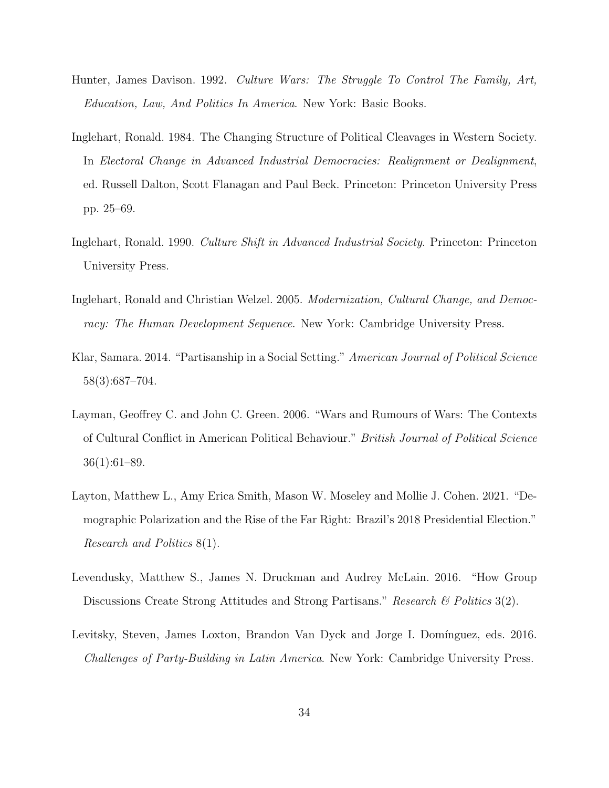- <span id="page-34-3"></span>Hunter, James Davison. 1992. Culture Wars: The Struggle To Control The Family, Art, Education, Law, And Politics In America. New York: Basic Books.
- <span id="page-34-0"></span>Inglehart, Ronald. 1984. The Changing Structure of Political Cleavages in Western Society. In Electoral Change in Advanced Industrial Democracies: Realignment or Dealignment, ed. Russell Dalton, Scott Flanagan and Paul Beck. Princeton: Princeton University Press pp. 25–69.
- <span id="page-34-1"></span>Inglehart, Ronald. 1990. Culture Shift in Advanced Industrial Society. Princeton: Princeton University Press.
- <span id="page-34-2"></span>Inglehart, Ronald and Christian Welzel. 2005. Modernization, Cultural Change, and Democracy: The Human Development Sequence. New York: Cambridge University Press.
- <span id="page-34-6"></span>Klar, Samara. 2014. "Partisanship in a Social Setting." American Journal of Political Science 58(3):687–704.
- <span id="page-34-4"></span>Layman, Geoffrey C. and John C. Green. 2006. "Wars and Rumours of Wars: The Contexts of Cultural Conflict in American Political Behaviour." British Journal of Political Science 36(1):61–89.
- <span id="page-34-5"></span>Layton, Matthew L., Amy Erica Smith, Mason W. Moseley and Mollie J. Cohen. 2021. "Demographic Polarization and the Rise of the Far Right: Brazil's 2018 Presidential Election." Research and Politics 8(1).
- <span id="page-34-7"></span>Levendusky, Matthew S., James N. Druckman and Audrey McLain. 2016. "How Group Discussions Create Strong Attitudes and Strong Partisans." Research & Politics 3(2).
- <span id="page-34-8"></span>Levitsky, Steven, James Loxton, Brandon Van Dyck and Jorge I. Domínguez, eds. 2016. Challenges of Party-Building in Latin America. New York: Cambridge University Press.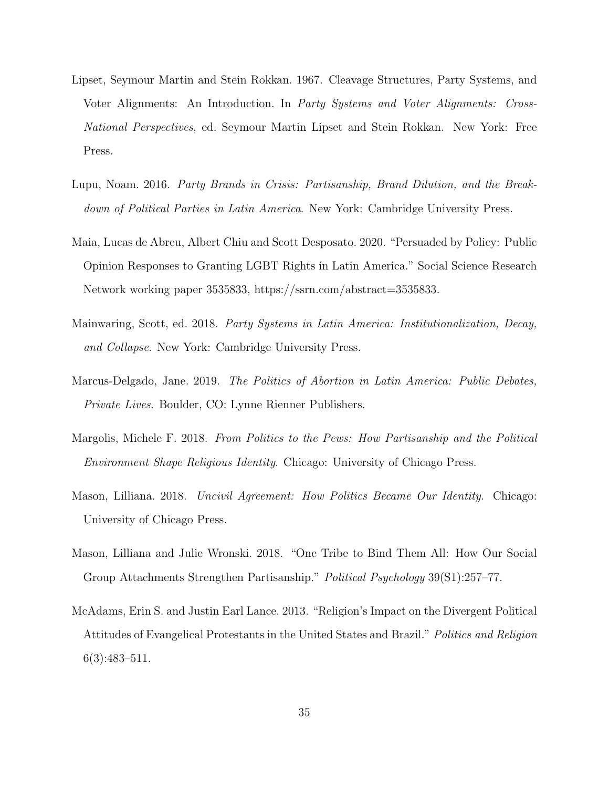- <span id="page-35-0"></span>Lipset, Seymour Martin and Stein Rokkan. 1967. Cleavage Structures, Party Systems, and Voter Alignments: An Introduction. In Party Systems and Voter Alignments: Cross-National Perspectives, ed. Seymour Martin Lipset and Stein Rokkan. New York: Free Press.
- <span id="page-35-8"></span>Lupu, Noam. 2016. Party Brands in Crisis: Partisanship, Brand Dilution, and the Breakdown of Political Parties in Latin America. New York: Cambridge University Press.
- <span id="page-35-3"></span>Maia, Lucas de Abreu, Albert Chiu and Scott Desposato. 2020. "Persuaded by Policy: Public Opinion Responses to Granting LGBT Rights in Latin America." Social Science Research Network working paper 3535833, https://ssrn.com/abstract=3535833.
- <span id="page-35-7"></span>Mainwaring, Scott, ed. 2018. Party Systems in Latin America: Institutionalization, Decay, and Collapse. New York: Cambridge University Press.
- <span id="page-35-2"></span>Marcus-Delgado, Jane. 2019. The Politics of Abortion in Latin America: Public Debates, Private Lives. Boulder, CO: Lynne Rienner Publishers.
- <span id="page-35-4"></span>Margolis, Michele F. 2018. From Politics to the Pews: How Partisanship and the Political Environment Shape Religious Identity. Chicago: University of Chicago Press.
- <span id="page-35-5"></span>Mason, Lilliana. 2018. Uncivil Agreement: How Politics Became Our Identity. Chicago: University of Chicago Press.
- <span id="page-35-6"></span>Mason, Lilliana and Julie Wronski. 2018. "One Tribe to Bind Them All: How Our Social Group Attachments Strengthen Partisanship." Political Psychology 39(S1):257–77.
- <span id="page-35-1"></span>McAdams, Erin S. and Justin Earl Lance. 2013. "Religion's Impact on the Divergent Political Attitudes of Evangelical Protestants in the United States and Brazil." Politics and Religion 6(3):483–511.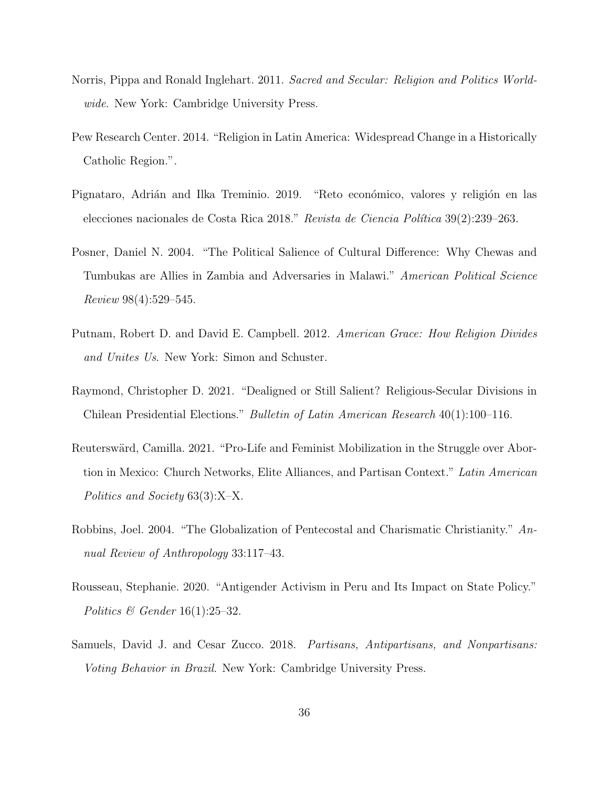- <span id="page-36-5"></span>Norris, Pippa and Ronald Inglehart. 2011. Sacred and Secular: Religion and Politics Worldwide. New York: Cambridge University Press.
- <span id="page-36-3"></span>Pew Research Center. 2014. "Religion in Latin America: Widespread Change in a Historically Catholic Region.".
- <span id="page-36-0"></span>Pignataro, Adrián and Ilka Treminio. 2019. "Reto económico, valores y religión en las elecciones nacionales de Costa Rica 2018." Revista de Ciencia Política 39(2):239-263.
- <span id="page-36-2"></span>Posner, Daniel N. 2004. "The Political Salience of Cultural Difference: Why Chewas and Tumbukas are Allies in Zambia and Adversaries in Malawi." American Political Science Review 98(4):529–545.
- <span id="page-36-8"></span>Putnam, Robert D. and David E. Campbell. 2012. American Grace: How Religion Divides and Unites Us. New York: Simon and Schuster.
- <span id="page-36-6"></span>Raymond, Christopher D. 2021. "Dealigned or Still Salient? Religious-Secular Divisions in Chilean Presidential Elections." Bulletin of Latin American Research 40(1):100–116.
- <span id="page-36-1"></span>Reuterswärd, Camilla. 2021. "Pro-Life and Feminist Mobilization in the Struggle over Abortion in Mexico: Church Networks, Elite Alliances, and Partisan Context." Latin American Politics and Society 63(3):X–X.
- <span id="page-36-4"></span>Robbins, Joel. 2004. "The Globalization of Pentecostal and Charismatic Christianity." Annual Review of Anthropology 33:117–43.
- <span id="page-36-7"></span>Rousseau, Stephanie. 2020. "Antigender Activism in Peru and Its Impact on State Policy." Politics  $\mathcal B$  Gender 16(1):25–32.
- <span id="page-36-9"></span>Samuels, David J. and Cesar Zucco. 2018. Partisans, Antipartisans, and Nonpartisans: Voting Behavior in Brazil. New York: Cambridge University Press.